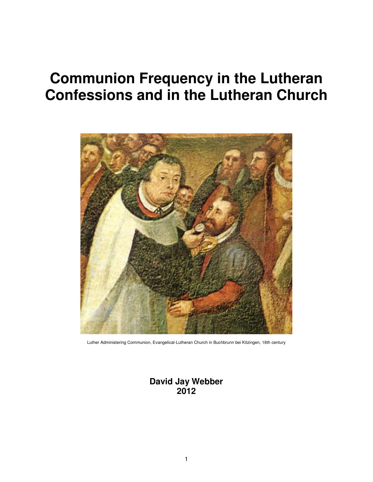## **Communion Frequency in the Lutheran Confessions and in the Lutheran Church**



Luther Administering Communion, Evangelical-Lutheran Church in Buchbrunn bei Kitzingen, 16th century

**David Jay Webber 2012**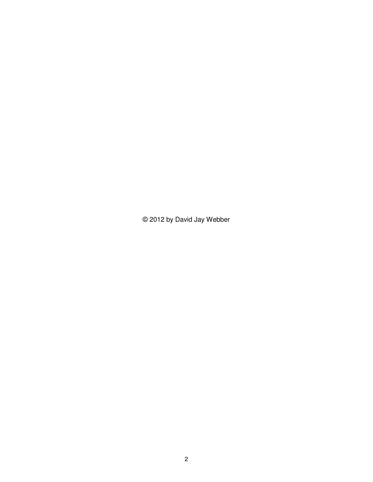© 2012 by David Jay Webber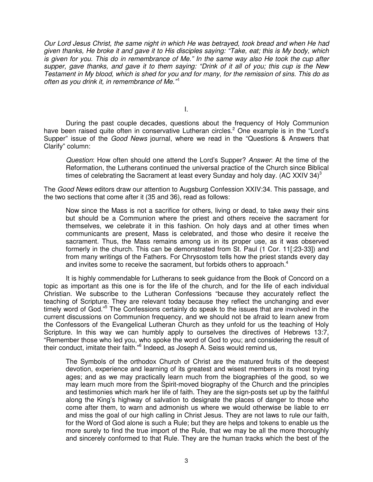Our Lord Jesus Christ, the same night in which He was betrayed, took bread and when He had given thanks, He broke it and gave it to His disciples saying: "Take, eat; this is My body, which is given for you. This do in remembrance of Me." In the same way also He took the cup after supper, gave thanks, and gave it to them saying: "Drink of it all of you; this cup is the New Testament in My blood, which is shed for you and for many, for the remission of sins. This do as often as you drink it, in remembrance of Me."<sup>1</sup>

I.

During the past couple decades, questions about the frequency of Holy Communion have been raised quite often in conservative Lutheran circles.<sup>2</sup> One example is in the "Lord's Supper" issue of the *Good News* journal, where we read in the "Questions & Answers that Clarify" column:

Question: How often should one attend the Lord's Supper? Answer: At the time of the Reformation, the Lutherans continued the universal practice of the Church since Biblical times of celebrating the Sacrament at least every Sunday and holy day. (AC XXIV 34)<sup>3</sup>

The Good News editors draw our attention to Augsburg Confession XXIV:34. This passage, and the two sections that come after it (35 and 36), read as follows:

Now since the Mass is not a sacrifice for others, living or dead, to take away their sins but should be a Communion where the priest and others receive the sacrament for themselves, we celebrate it in this fashion. On holy days and at other times when communicants are present, Mass is celebrated, and those who desire it receive the sacrament. Thus, the Mass remains among us in its proper use, as it was observed formerly in the church. This can be demonstrated from St. Paul (1 Cor. 11[:23-33]) and from many writings of the Fathers. For Chrysostom tells how the priest stands every day and invites some to receive the sacrament, but forbids others to approach.<sup>4</sup>

It is highly commendable for Lutherans to seek guidance from the Book of Concord on a topic as important as this one is for the life of the church, and for the life of each individual Christian. We subscribe to the Lutheran Confessions "because they accurately reflect the teaching of Scripture. They are relevant today because they reflect the unchanging and ever timely word of God."<sup>5</sup> The Confessions certainly do speak to the issues that are involved in the current discussions on Communion frequency, and we should not be afraid to learn anew from the Confessors of the Evangelical Lutheran Church as they unfold for us the teaching of Holy Scripture. In this way we can humbly apply to ourselves the directives of Hebrews 13:7, "Remember those who led you, who spoke the word of God to you; and considering the result of their conduct, imitate their faith."<sup>6</sup> Indeed, as Joseph A. Seiss would remind us,

The Symbols of the orthodox Church of Christ are the matured fruits of the deepest devotion, experience and learning of its greatest and wisest members in its most trying ages; and as we may practically learn much from the biographies of the good, so we may learn much more from the Spirit-moved biography of the Church and the principles and testimonies which mark her life of faith. They are the sign-posts set up by the faithful along the King's highway of salvation to designate the places of danger to those who come after them, to warn and admonish us where we would otherwise be liable to err and miss the goal of our high calling in Christ Jesus. They are not laws to rule our faith, for the Word of God alone is such a Rule; but they are helps and tokens to enable us the more surely to find the true import of the Rule, that we may be all the more thoroughly and sincerely conformed to that Rule. They are the human tracks which the best of the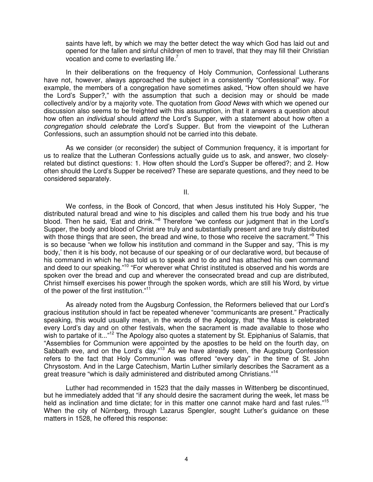saints have left, by which we may the better detect the way which God has laid out and opened for the fallen and sinful children of men to travel, that they may fill their Christian vocation and come to everlasting life. $<sup>7</sup>$ </sup>

In their deliberations on the frequency of Holy Communion, Confessional Lutherans have not, however, always approached the subject in a consistently "Confessional" way. For example, the members of a congregation have sometimes asked, "How often should we have the Lord's Supper?," with the assumption that such a decision may or should be made collectively and/or by a majority vote. The quotation from Good News with which we opened our discussion also seems to be freighted with this assumption, in that it answers a question about how often an *individual* should *attend* the Lord's Supper, with a statement about how often a congregation should celebrate the Lord's Supper. But from the viewpoint of the Lutheran Confessions, such an assumption should not be carried into this debate.

As we consider (or reconsider) the subject of Communion frequency, it is important for us to realize that the Lutheran Confessions actually guide us to ask, and answer, two closelyrelated but distinct questions: 1. How often should the Lord's Supper be offered?; and 2. How often should the Lord's Supper be received? These are separate questions, and they need to be considered separately.

II.

We confess, in the Book of Concord, that when Jesus instituted his Holy Supper, "he distributed natural bread and wine to his disciples and called them his true body and his true blood. Then he said, 'Eat and drink.'"<sup>8</sup> Therefore "we confess our judgment that in the Lord's Supper, the body and blood of Christ are truly and substantially present and are truly distributed with those things that are seen, the bread and wine, to those who receive the sacrament."<sup>9</sup> This is so because "when we follow his institution and command in the Supper and say, 'This is my body,' then it is his body, not because of our speaking or of our declarative word, but because of his command in which he has told us to speak and to do and has attached his own command and deed to our speaking."<sup>10</sup> "For wherever what Christ instituted is observed and his words are spoken over the bread and cup and wherever the consecrated bread and cup are distributed, Christ himself exercises his power through the spoken words, which are still his Word, by virtue of the power of the first institution."<sup>11</sup>

As already noted from the Augsburg Confession, the Reformers believed that our Lord's gracious institution should in fact be repeated whenever "communicants are present." Practically speaking, this would usually mean, in the words of the Apology, that "the Mass is celebrated every Lord's day and on other festivals, when the sacrament is made available to those who wish to partake of it..."<sup>12</sup> The Apology also quotes a statement by St. Epiphanius of Salamis, that "Assemblies for Communion were appointed by the apostles to be held on the fourth day, on Sabbath eve, and on the Lord's day."<sup>13</sup> As we have already seen, the Augsburg Confession refers to the fact that Holy Communion was offered "every day" in the time of St. John Chrysostom. And in the Large Catechism, Martin Luther similarly describes the Sacrament as a great treasure "which is daily administered and distributed among Christians."<sup>14</sup>

Luther had recommended in 1523 that the daily masses in Wittenberg be discontinued, but he immediately added that "if any should desire the sacrament during the week, let mass be held as inclination and time dictate; for in this matter one cannot make hard and fast rules."<sup>15</sup> When the city of Nürnberg, through Lazarus Spengler, sought Luther's guidance on these matters in 1528, he offered this response: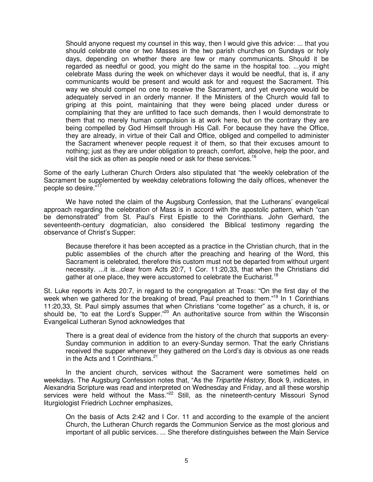Should anyone request my counsel in this way, then I would give this advice: ... that you should celebrate one or two Masses in the two parish churches on Sundays or holy days, depending on whether there are few or many communicants. Should it be regarded as needful or good, you might do the same in the hospital too. ...you might celebrate Mass during the week on whichever days it would be needful, that is, if any communicants would be present and would ask for and request the Sacrament. This way we should compel no one to receive the Sacrament, and yet everyone would be adequately served in an orderly manner. If the Ministers of the Church would fall to griping at this point, maintaining that they were being placed under duress or complaining that they are unfitted to face such demands, then I would demonstrate to them that no merely human compulsion is at work here, but on the contrary they are being compelled by God Himself through His Call. For because they have the Office, they are already, in virtue of their Call and Office, obliged and compelled to administer the Sacrament whenever people request it of them, so that their excuses amount to nothing; just as they are under obligation to preach, comfort, absolve, help the poor, and visit the sick as often as people need or ask for these services.<sup>16</sup>

Some of the early Lutheran Church Orders also stipulated that "the weekly celebration of the Sacrament be supplemented by weekday celebrations following the daily offices, whenever the people so desire."<sup>1</sup>

We have noted the claim of the Augsburg Confession, that the Lutherans' evangelical approach regarding the celebration of Mass is in accord with the apostolic pattern, which "can be demonstrated" from St. Paul's First Epistle to the Corinthians. John Gerhard, the seventeenth-century dogmatician, also considered the Biblical testimony regarding the observance of Christ's Supper:

Because therefore it has been accepted as a practice in the Christian church, that in the public assemblies of the church after the preaching and hearing of the Word, this Sacrament is celebrated, therefore this custom must not be departed from without urgent necessity. ...it is...clear from Acts 20:7, 1 Cor. 11:20,33, that when the Christians did gather at one place, they were accustomed to celebrate the Eucharist.<sup>18</sup>

St. Luke reports in Acts 20:7, in regard to the congregation at Troas: "On the first day of the week when we gathered for the breaking of bread, Paul preached to them."<sup>19</sup> In 1 Corinthians 11:20,33, St. Paul simply assumes that when Christians "come together" as a church, it is, or should be, "to eat the Lord's Supper."<sup>20</sup> An authoritative source from within the Wisconsin Evangelical Lutheran Synod acknowledges that

There is a great deal of evidence from the history of the church that supports an every-Sunday communion in addition to an every-Sunday sermon. That the early Christians received the supper whenever they gathered on the Lord's day is obvious as one reads in the Acts and 1 Corinthians. $21$ 

In the ancient church, services without the Sacrament were sometimes held on weekdays. The Augsburg Confession notes that, "As the *Tripartite History*, Book 9, indicates, in Alexandria Scripture was read and interpreted on Wednesday and Friday, and all these worship services were held without the Mass."<sup>22</sup> Still, as the nineteenth-century Missouri Synod liturgiologist Friedrich Lochner emphasizes,

On the basis of Acts 2:42 and I Cor. 11 and according to the example of the ancient Church, the Lutheran Church regards the Communion Service as the most glorious and important of all public services. ... She therefore distinguishes between the Main Service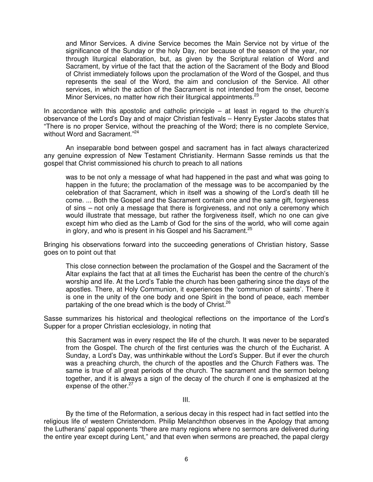and Minor Services. A divine Service becomes the Main Service not by virtue of the significance of the Sunday or the holy Day, nor because of the season of the year, nor through liturgical elaboration, but, as given by the Scriptural relation of Word and Sacrament, by virtue of the fact that the action of the Sacrament of the Body and Blood of Christ immediately follows upon the proclamation of the Word of the Gospel, and thus represents the seal of the Word, the aim and conclusion of the Service. All other services, in which the action of the Sacrament is not intended from the onset, become Minor Services, no matter how rich their liturgical appointments.<sup>23</sup>

In accordance with this apostolic and catholic principle  $-$  at least in regard to the church's observance of the Lord's Day and of major Christian festivals – Henry Eyster Jacobs states that "There is no proper Service, without the preaching of the Word; there is no complete Service, without Word and Sacrament."<sup>24</sup>

An inseparable bond between gospel and sacrament has in fact always characterized any genuine expression of New Testament Christianity. Hermann Sasse reminds us that the gospel that Christ commissioned his church to preach to all nations

was to be not only a message of what had happened in the past and what was going to happen in the future; the proclamation of the message was to be accompanied by the celebration of that Sacrament, which in itself was a showing of the Lord's death till he come. ... Both the Gospel and the Sacrament contain one and the same gift, forgiveness of sins – not only a message that there is forgiveness, and not only a ceremony which would illustrate that message, but rather the forgiveness itself, which no one can give except him who died as the Lamb of God for the sins of the world, who will come again in glory, and who is present in his Gospel and his Sacrament. $25$ 

Bringing his observations forward into the succeeding generations of Christian history, Sasse goes on to point out that

This close connection between the proclamation of the Gospel and the Sacrament of the Altar explains the fact that at all times the Eucharist has been the centre of the church's worship and life. At the Lord's Table the church has been gathering since the days of the apostles. There, at Holy Communion, it experiences the 'communion of saints'. There it is one in the unity of the one body and one Spirit in the bond of peace, each member partaking of the one bread which is the body of Christ.<sup>26</sup>

Sasse summarizes his historical and theological reflections on the importance of the Lord's Supper for a proper Christian ecclesiology, in noting that

this Sacrament was in every respect the life of the church. It was never to be separated from the Gospel. The church of the first centuries was the church of the Eucharist. A Sunday, a Lord's Day, was unthinkable without the Lord's Supper. But if ever the church was a preaching church, the church of the apostles and the Church Fathers was. The same is true of all great periods of the church. The sacrament and the sermon belong together, and it is always a sign of the decay of the church if one is emphasized at the expense of the other.<sup>27</sup>

III.

By the time of the Reformation, a serious decay in this respect had in fact settled into the religious life of western Christendom. Philip Melanchthon observes in the Apology that among the Lutherans' papal opponents "there are many regions where no sermons are delivered during the entire year except during Lent," and that even when sermons are preached, the papal clergy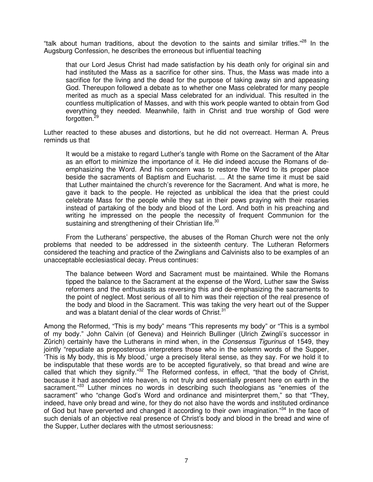"talk about human traditions, about the devotion to the saints and similar trifles."<sup>28</sup> In the Augsburg Confession, he describes the erroneous but influential teaching

that our Lord Jesus Christ had made satisfaction by his death only for original sin and had instituted the Mass as a sacrifice for other sins. Thus, the Mass was made into a sacrifice for the living and the dead for the purpose of taking away sin and appeasing God. Thereupon followed a debate as to whether one Mass celebrated for many people merited as much as a special Mass celebrated for an individual. This resulted in the countless multiplication of Masses, and with this work people wanted to obtain from God everything they needed. Meanwhile, faith in Christ and true worship of God were forgotten.<sup>2</sup>

Luther reacted to these abuses and distortions, but he did not overreact. Herman A. Preus reminds us that

It would be a mistake to regard Luther's tangle with Rome on the Sacrament of the Altar as an effort to minimize the importance of it. He did indeed accuse the Romans of deemphasizing the Word. And his concern was to restore the Word to its proper place beside the sacraments of Baptism and Eucharist. ... At the same time it must be said that Luther maintained the church's reverence for the Sacrament. And what is more, he gave it back to the people. He rejected as unbiblical the idea that the priest could celebrate Mass for the people while they sat in their pews praying with their rosaries instead of partaking of the body and blood of the Lord. And both in his preaching and writing he impressed on the people the necessity of frequent Communion for the sustaining and strengthening of their Christian life.<sup>30</sup>

From the Lutherans' perspective, the abuses of the Roman Church were not the only problems that needed to be addressed in the sixteenth century. The Lutheran Reformers considered the teaching and practice of the Zwinglians and Calvinists also to be examples of an unacceptable ecclesiastical decay. Preus continues:

The balance between Word and Sacrament must be maintained. While the Romans tipped the balance to the Sacrament at the expense of the Word, Luther saw the Swiss reformers and the enthusiasts as reversing this and de-emphasizing the sacraments to the point of neglect. Most serious of all to him was their rejection of the real presence of the body and blood in the Sacrament. This was taking the very heart out of the Supper and was a blatant denial of the clear words of Christ. $31$ 

Among the Reformed, "This is my body" means "This represents my body" or "This is a symbol of my body." John Calvin (of Geneva) and Heinrich Bullinger (Ulrich Zwingli's successor in Zürich) certainly have the Lutherans in mind when, in the Consensus Tigurinus of 1549, they jointly "repudiate as preposterous interpreters those who in the solemn words of the Supper, 'This is My body, this is My blood,' urge a precisely literal sense, as they say. For we hold it to be indisputable that these words are to be accepted figuratively, so that bread and wine are called that which they signify."<sup>32</sup> The Reformed confess, in effect, "that the body of Christ, because it had ascended into heaven, is not truly and essentially present here on earth in the sacrament."<sup>33</sup> Luther minces no words in describing such theologians as "enemies of the sacrament" who "change God's Word and ordinance and misinterpret them," so that "They, indeed, have only bread and wine, for they do not also have the words and instituted ordinance of God but have perverted and changed it according to their own imagination."<sup>34</sup> In the face of such denials of an objective real presence of Christ's body and blood in the bread and wine of the Supper, Luther declares with the utmost seriousness: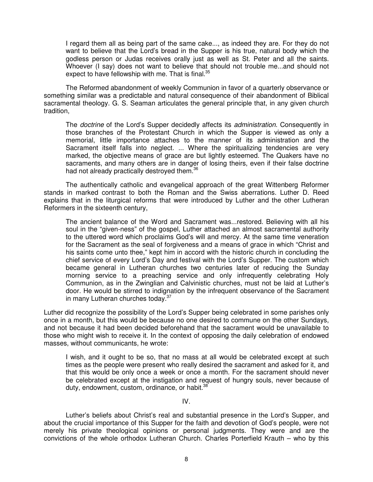I regard them all as being part of the same cake..., as indeed they are. For they do not want to believe that the Lord's bread in the Supper is his true, natural body which the godless person or Judas receives orally just as well as St. Peter and all the saints. Whoever (I say) does not want to believe that should not trouble me...and should not expect to have fellowship with me. That is final.<sup>35</sup>

The Reformed abandonment of weekly Communion in favor of a quarterly observance or something similar was a predictable and natural consequence of their abandonment of Biblical sacramental theology. G. S. Seaman articulates the general principle that, in any given church tradition,

The *doctrine* of the Lord's Supper decidedly affects its *administration*. Consequently in those branches of the Protestant Church in which the Supper is viewed as only a memorial, little importance attaches to the manner of its administration and the Sacrament itself falls into neglect. ... Where the spiritualizing tendencies are very marked, the objective means of grace are but lightly esteemed. The Quakers have no sacraments, and many others are in danger of losing theirs, even if their false doctrine had not already practically destroyed them.<sup>36</sup>

The authentically catholic and evangelical approach of the great Wittenberg Reformer stands in marked contrast to both the Roman and the Swiss aberrations. Luther D. Reed explains that in the liturgical reforms that were introduced by Luther and the other Lutheran Reformers in the sixteenth century,

The ancient balance of the Word and Sacrament was...restored. Believing with all his soul in the "given-ness" of the gospel, Luther attached an almost sacramental authority to the uttered word which proclaims God's will and mercy. At the same time veneration for the Sacrament as the seal of forgiveness and a means of grace in which "Christ and his saints come unto thee," kept him in accord with the historic church in concluding the chief service of every Lord's Day and festival with the Lord's Supper. The custom which became general in Lutheran churches two centuries later of reducing the Sunday morning service to a preaching service and only infrequently celebrating Holy Communion, as in the Zwinglian and Calvinistic churches, must not be laid at Luther's door. He would be stirred to indignation by the infrequent observance of the Sacrament in many Lutheran churches today.<sup>37</sup>

Luther did recognize the possibility of the Lord's Supper being celebrated in some parishes only once in a month, but this would be because no one desired to commune on the other Sundays, and not because it had been decided beforehand that the sacrament would be unavailable to those who might wish to receive it. In the context of opposing the daily celebration of endowed masses, without communicants, he wrote:

I wish, and it ought to be so, that no mass at all would be celebrated except at such times as the people were present who really desired the sacrament and asked for it, and that this would be only once a week or once a month. For the sacrament should never be celebrated except at the instigation and request of hungry souls, never because of duty, endowment, custom, ordinance, or habit.<sup>38</sup>

IV.

Luther's beliefs about Christ's real and substantial presence in the Lord's Supper, and about the crucial importance of this Supper for the faith and devotion of God's people, were not merely his private theological opinions or personal judgments. They were and are the convictions of the whole orthodox Lutheran Church. Charles Porterfield Krauth – who by this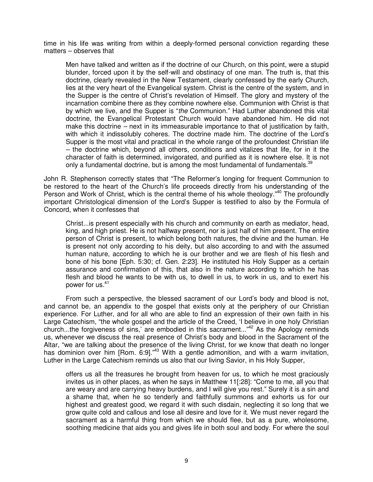time in his life was writing from within a deeply-formed personal conviction regarding these matters – observes that

Men have talked and written as if the doctrine of our Church, on this point, were a stupid blunder, forced upon it by the self-will and obstinacy of one man. The truth is, that this doctrine, clearly revealed in the New Testament, clearly confessed by the early Church, lies at the very heart of the Evangelical system. Christ is the centre of the system, and in the Supper is the centre of Christ's revelation of Himself. The glory and mystery of the incarnation combine there as they combine nowhere else. Communion with Christ is that by which we live, and the Supper is "the Communion." Had Luther abandoned this vital doctrine, the Evangelical Protestant Church would have abandoned him. He did not make this doctrine – next in its immeasurable importance to that of justification by faith, with which it indissolubly coheres. The doctrine made him. The doctrine of the Lord's Supper is the most vital and practical in the whole range of the profoundest Christian life – the doctrine which, beyond all others, conditions and vitalizes that life, for in it the character of faith is determined, invigorated, and purified as it is nowhere else. It is not only a fundamental doctrine, but is among the most fundamental of fundamentals.<sup>39</sup>

John R. Stephenson correctly states that "The Reformer's longing for frequent Communion to be restored to the heart of the Church's life proceeds directly from his understanding of the Person and Work of Christ, which is the central theme of his whole theology."<sup>40</sup> The profoundly important Christological dimension of the Lord's Supper is testified to also by the Formula of Concord, when it confesses that

Christ...is present especially with his church and community on earth as mediator, head, king, and high priest. He is not halfway present, nor is just half of him present. The entire person of Christ is present, to which belong both natures, the divine and the human. He is present not only according to his deity, but also according to and with the assumed human nature, according to which he is our brother and we are flesh of his flesh and bone of his bone [Eph. 5:30; cf. Gen. 2:23]. He instituted his Holy Supper as a certain assurance and confirmation of this, that also in the nature according to which he has flesh and blood he wants to be with us, to dwell in us, to work in us, and to exert his power for us.<sup>41</sup>

From such a perspective, the blessed sacrament of our Lord's body and blood is not, and cannot be, an appendix to the gospel that exists only at the periphery of our Christian experience. For Luther, and for all who are able to find an expression of their own faith in his Large Catechism, "the whole gospel and the article of the Creed, 'I believe in one holy Christian church...the forgiveness of sins,' are embodied in this sacrament..."<sup>42</sup> As the Apology reminds us, whenever we discuss the real presence of Christ's body and blood in the Sacrament of the Altar, "we are talking about the presence of the living Christ, for we know that death no longer has dominion over him [Rom. 6:9]."<sup>43</sup> With a gentle admonition, and with a warm invitation, Luther in the Large Catechism reminds us also that our living Savior, in his Holy Supper,

offers us all the treasures he brought from heaven for us, to which he most graciously invites us in other places, as when he says in Matthew 11[:28]: "Come to me, all you that are weary and are carrying heavy burdens, and I will give you rest." Surely it is a sin and a shame that, when he so tenderly and faithfully summons and exhorts us for our highest and greatest good, we regard it with such disdain, neglecting it so long that we grow quite cold and callous and lose all desire and love for it. We must never regard the sacrament as a harmful thing from which we should flee, but as a pure, wholesome, soothing medicine that aids you and gives life in both soul and body. For where the soul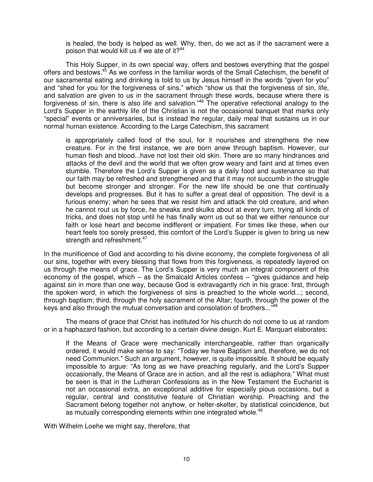is healed, the body is helped as well. Why, then, do we act as if the sacrament were a poison that would kill us if we ate of it? $44$ 

This Holy Supper, in its own special way, offers and bestows everything that the gospel offers and bestows.<sup>45</sup> As we confess in the familiar words of the Small Catechism, the benefit of our sacramental eating and drinking is told to us by Jesus himself in the words "given for you" and "shed for you for the forgiveness of sins," which "show us that the forgiveness of sin, life, and salvation are given to us in the sacrament through these words, because where there is forgiveness of sin, there is also life and salvation."<sup>46</sup> The operative refectional analogy to the Lord's Supper in the earthly life of the Christian is not the occasional banquet that marks only "special" events or anniversaries, but is instead the regular, daily meal that sustains us in our normal human existence. According to the Large Catechism, this sacrament

is appropriately called food of the soul, for it nourishes and strengthens the new creature. For in the first instance, we are born anew through baptism. However, our human flesh and blood...have not lost their old skin. There are so many hindrances and attacks of the devil and the world that we often grow weary and faint and at times even stumble. Therefore the Lord's Supper is given as a daily food and sustenance so that our faith may be refreshed and strengthened and that it may not succumb in the struggle but become stronger and stronger. For the new life should be one that continually develops and progresses. But it has to suffer a great deal of opposition. The devil is a furious enemy; when he sees that we resist him and attack the old creature, and when he cannot rout us by force, he sneaks and skulks about at every turn, trying all kinds of tricks, and does not stop until he has finally worn us out so that we either renounce our faith or lose heart and become indifferent or impatient. For times like these, when our heart feels too sorely pressed, this comfort of the Lord's Supper is given to bring us new strength and refreshment.<sup>47</sup>

In the munificence of God and according to his divine economy, the complete forgiveness of all our sins, together with every blessing that flows from this forgiveness, is repeatedly layered on us through the means of grace. The Lord's Supper is very much an integral component of this economy of the gospel, which – as the Smalcald Articles confess – "gives guidance and help against sin in more than one way, because God is extravagantly rich in his grace: first, through the spoken word, in which the forgiveness of sins is preached to the whole world...; second, through baptism; third, through the holy sacrament of the Altar; fourth, through the power of the keys and also through the mutual conversation and consolation of brothers...<sup>748</sup>

The means of grace that Christ has instituted for his church do not come to us at random or in a haphazard fashion, but according to a certain divine design. Kurt E. Marquart elaborates:

If the Means of Grace were mechanically interchangeable, rather than organically ordered, it would make sense to say: "Today we have Baptism and, therefore, we do not need Communion." Such an argument, however, is quite impossible. It should be equally impossible to argue: "As long as we have preaching regularly, and the Lord's Supper occasionally, the Means of Grace are in action, and all the rest is adiaphora." What must be seen is that in the Lutheran Confessions as in the New Testament the Eucharist is not an occasional extra, an exceptional additive for especially pious occasions, but a regular, central and constitutive feature of Christian worship. Preaching and the Sacrament belong together not anyhow, or helter-skelter, by statistical coincidence, but as mutually corresponding elements within one integrated whole.<sup>49</sup>

With Wilhelm Loehe we might say, therefore, that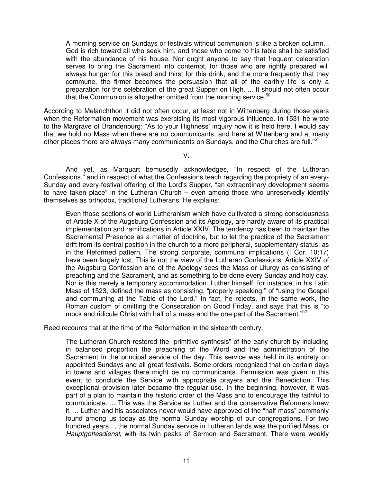A morning service on Sundays or festivals without communion is like a broken column... God is rich toward all who seek him, and those who come to his table shall be satisfied with the abundance of his house. Nor ought anyone to say that frequent celebration serves to bring the Sacrament into contempt, for those who are rightly prepared will always hunger for this bread and thirst for this drink; and the more frequently that they commune, the firmer becomes the persuasion that all of the earthly life is only a preparation for the celebration of the great Supper on High. ... It should not often occur that the Communion is altogether omitted from the morning service.<sup>50</sup>

According to Melanchthon it did not often occur, at least not in Wittenberg during those years when the Reformation movement was exercising its most vigorous influence. In 1531 he wrote to the Margrave of Brandenburg: "As to your Highness' inquiry how it is held here, I would say that we hold no Mass when there are no communicants; and here at Wittenberg and at many other places there are always many communicants on Sundays, and the Churches are full."<sup>51</sup>

And yet, as Marquart bemusedly acknowledges, "In respect of the Lutheran Confessions," and in respect of what the Confessions teach regarding the propriety of an every-Sunday and every-festival offering of the Lord's Supper, "an extraordinary development seems to have taken place" in the Lutheran Church – even among those who unreservedly identify themselves as orthodox, traditional Lutherans. He explains:

Even those sections of world Lutheranism which have cultivated a strong consciousness of Article X of the Augsburg Confession and its Apology, are hardly aware of its practical implementation and ramifications in Article XXIV. The tendency has been to maintain the Sacramental Presence as a matter of doctrine, but to let the practice of the Sacrament drift from its central position in the church to a more peripheral, supplementary status, as in the Reformed pattern. The strong corporate, communal implications (I Cor. 10:17) have been largely lost. This is not the view of the Lutheran Confessions. Article XXIV of the Augsburg Confession and of the Apology sees the Mass or Liturgy as consisting of preaching and the Sacrament, and as something to be done every Sunday and holy day. Nor is this merely a temporary accommodation. Luther himself, for instance, in his Latin Mass of 1523, defined the mass as consisting, "properly speaking," of "using the Gospel and communing at the Table of the Lord." In fact, he rejects, in the same work, the Roman custom of omitting the Consecration on Good Friday, and says that this is "to mock and ridicule Christ with half of a mass and the one part of the Sacrament."<sup>52</sup>

Reed recounts that at the time of the Reformation in the sixteenth century,

The Lutheran Church restored the "primitive synthesis" of the early church by including in balanced proportion the preaching of the Word and the administration of the Sacrament in the principal service of the day. This service was held in its entirety on appointed Sundays and all great festivals. Some orders recognized that on certain days in towns and villages there might be no communicants. Permission was given in this event to conclude the Service with appropriate prayers and the Benediction. This exceptional provision later became the regular use. In the beginning, however, it was part of a plan to maintain the historic order of the Mass and to encourage the faithful to communicate. ... This was the Service as Luther and the conservative Reformers knew it. ... Luther and his associates never would have approved of the "half-mass" commonly found among us today as the normal Sunday worship of our congregations. For two hundred years..., the normal Sunday service in Lutheran lands was the purified Mass, or Hauptgottesdienst, with its twin peaks of Sermon and Sacrament. There were weekly

V.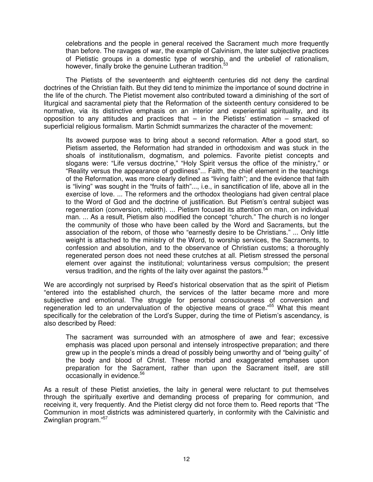celebrations and the people in general received the Sacrament much more frequently than before. The ravages of war, the example of Calvinism, the later subjective practices of Pietistic groups in a domestic type of worship, and the unbelief of rationalism, however, finally broke the genuine Lutheran tradition.<sup>53</sup>

The Pietists of the seventeenth and eighteenth centuries did not deny the cardinal doctrines of the Christian faith. But they did tend to minimize the importance of sound doctrine in the life of the church. The Pietist movement also contributed toward a diminishing of the sort of liturgical and sacramental piety that the Reformation of the sixteenth century considered to be normative, via its distinctive emphasis on an interior and experiential spirituality, and its opposition to any attitudes and practices that  $-$  in the Pietists' estimation  $-$  smacked of superficial religious formalism. Martin Schmidt summarizes the character of the movement:

Its avowed purpose was to bring about a second reformation. After a good start, so Pietism asserted, the Reformation had stranded in orthodoxism and was stuck in the shoals of institutionalism, dogmatism, and polemics. Favorite pietist concepts and slogans were: "Life versus doctrine," "Holy Spirit versus the office of the ministry," or "Reality versus the appearance of godliness"... Faith, the chief element in the teachings of the Reformation, was more clearly defined as "living faith"; and the evidence that faith is "living" was sought in the "fruits of faith"..., i.e., in sanctification of life, above all in the exercise of love. ... The reformers and the orthodox theologians had given central place to the Word of God and the doctrine of justification. But Pietism's central subject was regeneration (conversion, rebirth). ... Pietism focused its attention on man, on individual man. ... As a result, Pietism also modified the concept "church." The church is no longer the community of those who have been called by the Word and Sacraments, but the association of the reborn, of those who "earnestly desire to be Christians." ... Only little weight is attached to the ministry of the Word, to worship services, the Sacraments, to confession and absolution, and to the observance of Christian customs; a thoroughly regenerated person does not need these crutches at all. Pietism stressed the personal element over against the institutional; voluntariness versus compulsion; the present versus tradition, and the rights of the laity over against the pastors.<sup>54</sup>

We are accordingly not surprised by Reed's historical observation that as the spirit of Pietism "entered into the established church, the services of the latter became more and more subjective and emotional. The struggle for personal consciousness of conversion and regeneration led to an undervaluation of the objective means of grace."<sup>55</sup> What this meant specifically for the celebration of the Lord's Supper, during the time of Pietism's ascendancy, is also described by Reed:

The sacrament was surrounded with an atmosphere of awe and fear; excessive emphasis was placed upon personal and intensely introspective preparation; and there grew up in the people's minds a dread of possibly being unworthy and of "being guilty" of the body and blood of Christ. These morbid and exaggerated emphases upon preparation for the Sacrament, rather than upon the Sacrament itself, are still occasionally in evidence.<sup>56</sup>

As a result of these Pietist anxieties, the laity in general were reluctant to put themselves through the spiritually exertive and demanding process of preparing for communion, and receiving it, very frequently. And the Pietist clergy did not force them to. Reed reports that "The Communion in most districts was administered quarterly, in conformity with the Calvinistic and Zwinglian program."<sup>57</sup>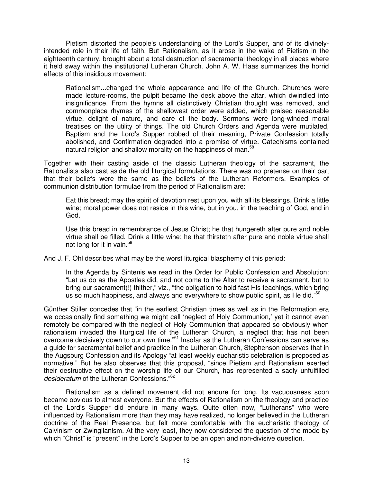Pietism distorted the people's understanding of the Lord's Supper, and of its divinelyintended role in their life of faith. But Rationalism, as it arose in the wake of Pietism in the eighteenth century, brought about a total destruction of sacramental theology in all places where it held sway within the institutional Lutheran Church. John A. W. Haas summarizes the horrid effects of this insidious movement:

Rationalism...changed the whole appearance and life of the Church. Churches were made lecture-rooms, the pulpit became the desk above the altar, which dwindled into insignificance. From the hymns all distinctively Christian thought was removed, and commonplace rhymes of the shallowest order were added, which praised reasonable virtue, delight of nature, and care of the body. Sermons were long-winded moral treatises on the utility of things. The old Church Orders and Agenda were mutilated, Baptism and the Lord's Supper robbed of their meaning, Private Confession totally abolished, and Confirmation degraded into a promise of virtue. Catechisms contained natural religion and shallow morality on the happiness of man.<sup>58</sup>

Together with their casting aside of the classic Lutheran theology of the sacrament, the Rationalists also cast aside the old liturgical formulations. There was no pretense on their part that their beliefs were the same as the beliefs of the Lutheran Reformers. Examples of communion distribution formulae from the period of Rationalism are:

Eat this bread; may the spirit of devotion rest upon you with all its blessings. Drink a little wine; moral power does not reside in this wine, but in you, in the teaching of God, and in God.

Use this bread in remembrance of Jesus Christ; he that hungereth after pure and noble virtue shall be filled. Drink a little wine; he that thirsteth after pure and noble virtue shall not long for it in vain.<sup>59</sup>

And J. F. Ohl describes what may be the worst liturgical blasphemy of this period:

In the Agenda by Sintenis we read in the Order for Public Confession and Absolution: "Let us do as the Apostles did, and not come to the Altar to receive a sacrament, but to bring our sacrament(!) thither," viz., "the obligation to hold fast His teachings, which bring us so much happiness, and always and everywhere to show public spirit, as He did."<sup>60</sup>

Günther Stiller concedes that "in the earliest Christian times as well as in the Reformation era we occasionally find something we might call 'neglect of Holy Communion,' yet it cannot even remotely be compared with the neglect of Holy Communion that appeared so obviously when rationalism invaded the liturgical life of the Lutheran Church, a neglect that has not been overcome decisively down to our own time."<sup>61</sup> Insofar as the Lutheran Confessions can serve as a guide for sacramental belief and practice in the Lutheran Church, Stephenson observes that in the Augsburg Confession and its Apology "at least weekly eucharistic celebration is proposed as normative." But he also observes that this proposal, "since Pietism and Rationalism exerted their destructive effect on the worship life of our Church, has represented a sadly unfulfilled desideratum of the Lutheran Confessions."<sup>62</sup>

Rationalism as a defined movement did not endure for long. Its vacuousness soon became obvious to almost everyone. But the effects of Rationalism on the theology and practice of the Lord's Supper did endure in many ways. Quite often now, "Lutherans" who were influenced by Rationalism more than they may have realized, no longer believed in the Lutheran doctrine of the Real Presence, but felt more comfortable with the eucharistic theology of Calvinism or Zwinglianism. At the very least, they now considered the question of the mode by which "Christ" is "present" in the Lord's Supper to be an open and non-divisive question.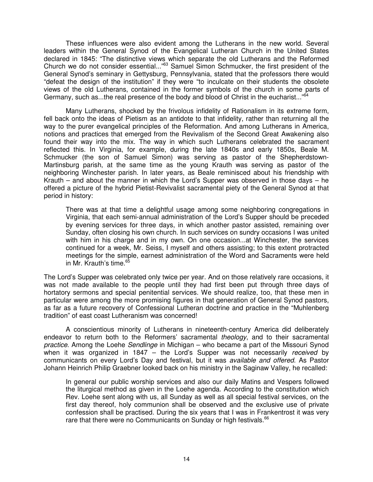These influences were also evident among the Lutherans in the new world. Several leaders within the General Synod of the Evangelical Lutheran Church in the United States declared in 1845: "The distinctive views which separate the old Lutherans and the Reformed Church we do not consider essential..."<sup>63</sup> Samuel Simon Schmucker, the first president of the General Synod's seminary in Gettysburg, Pennsylvania, stated that the professors there would "defeat the design of the institution" if they were "to inculcate on their students the obsolete views of the old Lutherans, contained in the former symbols of the church in some parts of Germany, such as...the real presence of the body and blood of Christ in the eucharist..."<sup>64</sup>

Many Lutherans, shocked by the frivolous infidelity of Rationalism in its extreme form, fell back onto the ideas of Pietism as an antidote to that infidelity, rather than returning all the way to the purer evangelical principles of the Reformation. And among Lutherans in America, notions and practices that emerged from the Revivalism of the Second Great Awakening also found their way into the mix. The way in which such Lutherans celebrated the sacrament reflected this. In Virginia, for example, during the late 1840s and early 1850s, Beale M. Schmucker (the son of Samuel Simon) was serving as pastor of the Shepherdstown-Martinsburg parish, at the same time as the young Krauth was serving as pastor of the neighboring Winchester parish. In later years, as Beale reminisced about his friendship with Krauth – and about the manner in which the Lord's Supper was observed in those days – he offered a picture of the hybrid Pietist-Revivalist sacramental piety of the General Synod at that period in history:

There was at that time a delightful usage among some neighboring congregations in Virginia, that each semi-annual administration of the Lord's Supper should be preceded by evening services for three days, in which another pastor assisted, remaining over Sunday, often closing his own church. In such services on sundry occasions I was united with him in his charge and in my own. On one occasion...at Winchester, the services continued for a week, Mr. Seiss, I myself and others assisting; to this extent protracted meetings for the simple, earnest administration of the Word and Sacraments were held in Mr. Krauth's time.<sup>65</sup>

The Lord's Supper was celebrated only twice per year. And on those relatively rare occasions, it was not made available to the people until they had first been put through three days of hortatory sermons and special penitential services. We should realize, too, that these men in particular were among the more promising figures in that generation of General Synod pastors, as far as a future recovery of Confessional Lutheran doctrine and practice in the "Muhlenberg tradition" of east coast Lutheranism was concerned!

 A conscientious minority of Lutherans in nineteenth-century America did deliberately endeavor to return both to the Reformers' sacramental theology, and to their sacramental practice. Among the Loehe Sendlinge in Michigan – who became a part of the Missouri Synod when it was organized in  $1847 -$  the Lord's Supper was not necessarily received by communicants on every Lord's Day and festival, but it was available and offered. As Pastor Johann Heinrich Philip Graebner looked back on his ministry in the Saginaw Valley, he recalled:

In general our public worship services and also our daily Matins and Vespers followed the liturgical method as given in the Loehe agenda. According to the constitution which Rev. Loehe sent along with us, all Sunday as well as all special festival services, on the first day thereof, holy communion shall be observed and the exclusive use of private confession shall be practised. During the six years that I was in Frankentrost it was very rare that there were no Communicants on Sunday or high festivals.<sup>66</sup>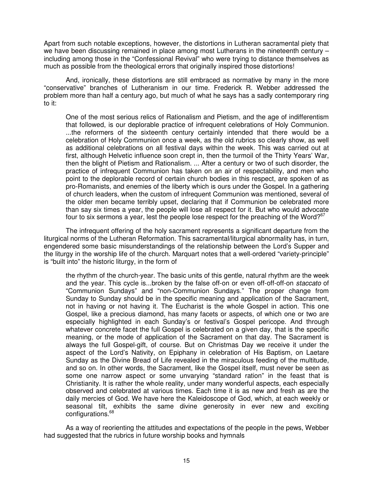Apart from such notable exceptions, however, the distortions in Lutheran sacramental piety that we have been discussing remained in place among most Lutherans in the nineteenth century – including among those in the "Confessional Revival" who were trying to distance themselves as much as possible from the theological errors that originally inspired those distortions!

And, ironically, these distortions are still embraced as normative by many in the more "conservative" branches of Lutheranism in our time. Frederick R. Webber addressed the problem more than half a century ago, but much of what he says has a sadly contemporary ring to it:

One of the most serious relics of Rationalism and Pietism, and the age of indifferentism that followed, is our deplorable practice of infrequent celebrations of Holy Communion. ...the reformers of the sixteenth century certainly intended that there would be a celebration of Holy Communion once a week, as the old rubrics so clearly show, as well as additional celebrations on all festival days within the week. This was carried out at first, although Helvetic influence soon crept in, then the turmoil of the Thirty Years' War, then the blight of Pietism and Rationalism. ... After a century or two of such disorder, the practice of infrequent Communion has taken on an air of respectability, and men who point to the deplorable record of certain church bodies in this respect, are spoken of as pro-Romanists, and enemies of the liberty which is ours under the Gospel. In a gathering of church leaders, when the custom of infrequent Communion was mentioned, several of the older men became terribly upset, declaring that if Communion be celebrated more than say six times a year, the people will lose all respect for it. But who would advocate four to six sermons a year, lest the people lose respect for the preaching of the Word? $67$ 

The infrequent offering of the holy sacrament represents a significant departure from the liturgical norms of the Lutheran Reformation. This sacramental/liturgical abnormality has, in turn, engendered some basic misunderstandings of the relationship between the Lord's Supper and the liturgy in the worship life of the church. Marquart notes that a well-ordered "variety-principle" is "built into" the historic liturgy, in the form of

the rhythm of the church-year. The basic units of this gentle, natural rhythm are the week and the year. This cycle is...broken by the false off-on or even off-off-off-on staccato of "Communion Sundays" and "non-Communion Sundays." The proper change from Sunday to Sunday should be in the specific meaning and application of the Sacrament, not in having or not having it. The Eucharist is the whole Gospel in action. This one Gospel, like a precious diamond, has many facets or aspects, of which one or two are especially highlighted in each Sunday's or festival's Gospel pericope. And through whatever concrete facet the full Gospel is celebrated on a given day, that is the specific meaning, or the mode of application of the Sacrament on that day. The Sacrament is always the full Gospel-gift, of course. But on Christmas Day we receive it under the aspect of the Lord's Nativity, on Epiphany in celebration of His Baptism, on Laetare Sunday as the Divine Bread of Life revealed in the miraculous feeding of the multitude, and so on. In other words, the Sacrament, like the Gospel itself, must never be seen as some one narrow aspect or some unvarying "standard ration" in the feast that is Christianity. It is rather the whole reality, under many wonderful aspects, each especially observed and celebrated at various times. Each time it is as new and fresh as are the daily mercies of God. We have here the Kaleidoscope of God, which, at each weekly or seasonal tilt, exhibits the same divine generosity in ever new and exciting configurations.<sup>68</sup>

As a way of reorienting the attitudes and expectations of the people in the pews, Webber had suggested that the rubrics in future worship books and hymnals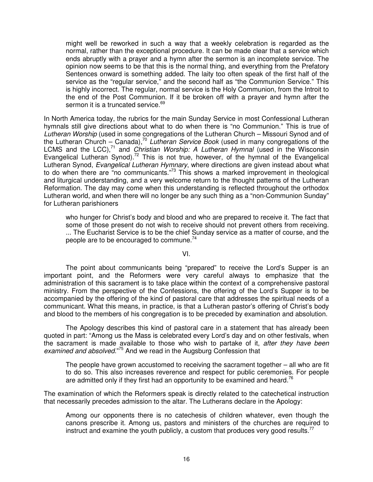might well be reworked in such a way that a weekly celebration is regarded as the normal, rather than the exceptional procedure. It can be made clear that a service which ends abruptly with a prayer and a hymn after the sermon is an incomplete service. The opinion now seems to be that this is the normal thing, and everything from the Prefatory Sentences onward is something added. The laity too often speak of the first half of the service as the "regular service," and the second half as "the Communion Service." This is highly incorrect. The regular, normal service is the Holy Communion, from the Introit to the end of the Post Communion. If it be broken off with a prayer and hymn after the sermon it is a truncated service.<sup>69</sup>

In North America today, the rubrics for the main Sunday Service in most Confessional Lutheran hymnals still give directions about what to do when there is "no Communion." This is true of Lutheran Worship (used in some congregations of the Lutheran Church – Missouri Synod and of the Lutheran Church – Canada), $^{70}$  Lutheran Service Book (used in many congregations of the LCMS and the LCC), $71$  and *Christian Worship: A Lutheran Hymnal* (used in the Wisconsin Evangelical Lutheran Synod).<sup>72</sup> This is not true, however, of the hymnal of the Evangelical Lutheran Synod, Evangelical Lutheran Hymnary, where directions are given instead about what to do when there are "no communicants."<sup>73</sup> This shows a marked improvement in theological and liturgical understanding, and a very welcome return to the thought patterns of the Lutheran Reformation. The day may come when this understanding is reflected throughout the orthodox Lutheran world, and when there will no longer be any such thing as a "non-Communion Sunday" for Lutheran parishioners

who hunger for Christ's body and blood and who are prepared to receive it. The fact that some of those present do not wish to receive should not prevent others from receiving. ... The Eucharist Service is to be the chief Sunday service as a matter of course, and the people are to be encouraged to commune.<sup>74</sup>

## VI.

The point about communicants being "prepared" to receive the Lord's Supper is an important point, and the Reformers were very careful always to emphasize that the administration of this sacrament is to take place within the context of a comprehensive pastoral ministry. From the perspective of the Confessions, the offering of the Lord's Supper is to be accompanied by the offering of the kind of pastoral care that addresses the spiritual needs of a communicant. What this means, in practice, is that a Lutheran pastor's offering of Christ's body and blood to the members of his congregation is to be preceded by examination and absolution.

The Apology describes this kind of pastoral care in a statement that has already been quoted in part: "Among us the Mass is celebrated every Lord's day and on other festivals, when the sacrament is made available to those who wish to partake of it, after they have been examined and absolved."<sup>75</sup> And we read in the Augsburg Confession that

The people have grown accustomed to receiving the sacrament together – all who are fit to do so. This also increases reverence and respect for public ceremonies. For people are admitted only if they first had an opportunity to be examined and heard.<sup>76</sup>

The examination of which the Reformers speak is directly related to the catechetical instruction that necessarily precedes admission to the altar. The Lutherans declare in the Apology:

Among our opponents there is no catechesis of children whatever, even though the canons prescribe it. Among us, pastors and ministers of the churches are required to instruct and examine the youth publicly, a custom that produces very good results. $^{77}$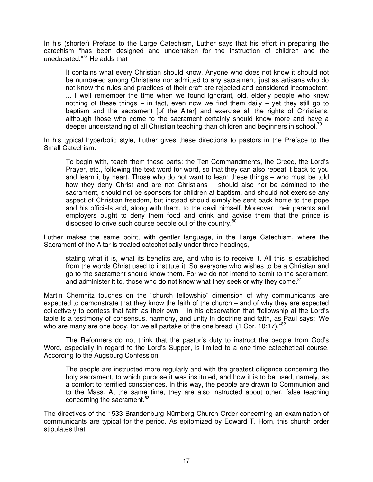In his (shorter) Preface to the Large Catechism, Luther says that his effort in preparing the catechism "has been designed and undertaken for the instruction of children and the uneducated."<sup>78</sup> He adds that

It contains what every Christian should know. Anyone who does not know it should not be numbered among Christians nor admitted to any sacrament, just as artisans who do not know the rules and practices of their craft are rejected and considered incompetent. ... I well remember the time when we found ignorant, old, elderly people who knew nothing of these things – in fact, even now we find them daily – yet they still go to baptism and the sacrament [of the Altar] and exercise all the rights of Christians, although those who come to the sacrament certainly should know more and have a deeper understanding of all Christian teaching than children and beginners in school.<sup>79</sup>

In his typical hyperbolic style, Luther gives these directions to pastors in the Preface to the Small Catechism:

To begin with, teach them these parts: the Ten Commandments, the Creed, the Lord's Prayer, etc., following the text word for word, so that they can also repeat it back to you and learn it by heart. Those who do not want to learn these things – who must be told how they deny Christ and are not Christians – should also not be admitted to the sacrament, should not be sponsors for children at baptism, and should not exercise any aspect of Christian freedom, but instead should simply be sent back home to the pope and his officials and, along with them, to the devil himself. Moreover, their parents and employers ought to deny them food and drink and advise them that the prince is disposed to drive such course people out of the country.<sup>80</sup>

Luther makes the same point, with gentler language, in the Large Catechism, where the Sacrament of the Altar is treated catechetically under three headings,

stating what it is, what its benefits are, and who is to receive it. All this is established from the words Christ used to institute it. So everyone who wishes to be a Christian and go to the sacrament should know them. For we do not intend to admit to the sacrament, and administer it to, those who do not know what they seek or why they come. $81$ 

Martin Chemnitz touches on the "church fellowship" dimension of why communicants are expected to demonstrate that they know the faith of the church – and of why they are expected collectively to confess that faith as their own – in his observation that "fellowship at the Lord's table is a testimony of consensus, harmony, and unity in doctrine and faith, as Paul says: 'We who are many are one body, for we all partake of the one bread' (1 Cor. 10:17)."82

The Reformers do not think that the pastor's duty to instruct the people from God's Word, especially in regard to the Lord's Supper, is limited to a one-time catechetical course. According to the Augsburg Confession,

The people are instructed more regularly and with the greatest diligence concerning the holy sacrament, to which purpose it was instituted, and how it is to be used, namely, as a comfort to terrified consciences. In this way, the people are drawn to Communion and to the Mass. At the same time, they are also instructed about other, false teaching concerning the sacrament.<sup>83</sup>

The directives of the 1533 Brandenburg-Nürnberg Church Order concerning an examination of communicants are typical for the period. As epitomized by Edward T. Horn, this church order stipulates that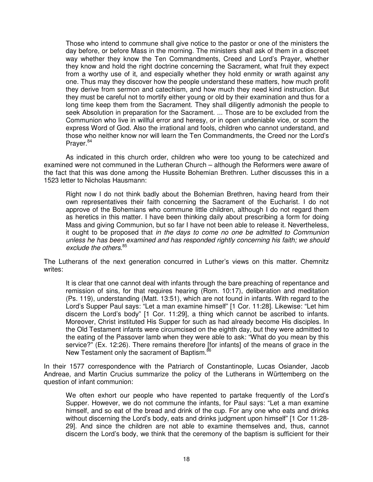Those who intend to commune shall give notice to the pastor or one of the ministers the day before, or before Mass in the morning. The ministers shall ask of them in a discreet way whether they know the Ten Commandments, Creed and Lord's Prayer, whether they know and hold the right doctrine concerning the Sacrament, what fruit they expect from a worthy use of it, and especially whether they hold enmity or wrath against any one. Thus may they discover how the people understand these matters, how much profit they derive from sermon and catechism, and how much they need kind instruction. But they must be careful not to mortify either young or old by their examination and thus for a long time keep them from the Sacrament. They shall diligently admonish the people to seek Absolution in preparation for the Sacrament. ... Those are to be excluded from the Communion who live in willful error and heresy, or in open undeniable vice, or scorn the express Word of God. Also the irrational and fools, children who cannot understand, and those who neither know nor will learn the Ten Commandments, the Creed nor the Lord's Prayer.<sup>84</sup>

As indicated in this church order, children who were too young to be catechized and examined were not communed in the Lutheran Church – although the Reformers were aware of the fact that this was done among the Hussite Bohemian Brethren. Luther discusses this in a 1523 letter to Nicholas Hausmann:

Right now I do not think badly about the Bohemian Brethren, having heard from their own representatives their faith concerning the Sacrament of the Eucharist. I do not approve of the Bohemians who commune little children, although I do not regard them as heretics in this matter. I have been thinking daily about prescribing a form for doing Mass and giving Communion, but so far I have not been able to release it. Nevertheless, it ought to be proposed that in the days to come no one be admitted to Communion unless he has been examined and has responded rightly concerning his faith; we should exclude the others.<sup>85</sup>

The Lutherans of the next generation concurred in Luther's views on this matter. Chemnitz writes:

It is clear that one cannot deal with infants through the bare preaching of repentance and remission of sins, for that requires hearing (Rom. 10:17), deliberation and meditation (Ps. 119), understanding (Matt. 13:51), which are not found in infants. With regard to the Lord's Supper Paul says: "Let a man examine himself" [1 Cor. 11:28]. Likewise: "Let him discern the Lord's body" [1 Cor. 11:29], a thing which cannot be ascribed to infants. Moreover, Christ instituted His Supper for such as had already become His disciples. In the Old Testament infants were circumcised on the eighth day, but they were admitted to the eating of the Passover lamb when they were able to ask: "What do you mean by this service?" (Ex. 12:26). There remains therefore [for infants] of the means of grace in the New Testament only the sacrament of Baptism.<sup>86</sup>

In their 1577 correspondence with the Patriarch of Constantinople, Lucas Osiander, Jacob Andreae, and Martin Crucius summarize the policy of the Lutherans in Württemberg on the question of infant communion:

We often exhort our people who have repented to partake frequently of the Lord's Supper. However, we do not commune the infants, for Paul says: "Let a man examine himself, and so eat of the bread and drink of the cup. For any one who eats and drinks without discerning the Lord's body, eats and drinks judgment upon himself" [1 Cor 11:28- 29]. And since the children are not able to examine themselves and, thus, cannot discern the Lord's body, we think that the ceremony of the baptism is sufficient for their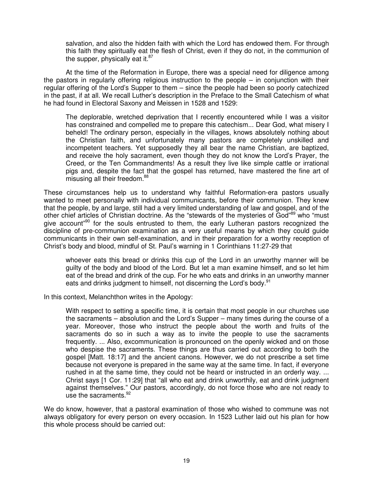salvation, and also the hidden faith with which the Lord has endowed them. For through this faith they spiritually eat the flesh of Christ, even if they do not, in the communion of the supper, physically eat it. $87$ 

At the time of the Reformation in Europe, there was a special need for diligence among the pastors in regularly offering religious instruction to the people – in conjunction with their regular offering of the Lord's Supper to them – since the people had been so poorly catechized in the past, if at all. We recall Luther's description in the Preface to the Small Catechism of what he had found in Electoral Saxony and Meissen in 1528 and 1529:

The deplorable, wretched deprivation that I recently encountered while I was a visitor has constrained and compelled me to prepare this catechism... Dear God, what misery I beheld! The ordinary person, especially in the villages, knows absolutely nothing about the Christian faith, and unfortunately many pastors are completely unskilled and incompetent teachers. Yet supposedly they all bear the name Christian, are baptized, and receive the holy sacrament, even though they do not know the Lord's Prayer, the Creed, or the Ten Commandments! As a result they live like simple cattle or irrational pigs and, despite the fact that the gospel has returned, have mastered the fine art of misusing all their freedom.<sup>88</sup>

These circumstances help us to understand why faithful Reformation-era pastors usually wanted to meet personally with individual communicants, before their communion. They knew that the people, by and large, still had a very limited understanding of law and gospel, and of the other chief articles of Christian doctrine. As the "stewards of the mysteries of God"<sup>89</sup> who "must give account<sup>"90</sup> for the souls entrusted to them, the early Lutheran pastors recognized the discipline of pre-communion examination as a very useful means by which they could guide communicants in their own self-examination, and in their preparation for a worthy reception of Christ's body and blood, mindful of St. Paul's warning in 1 Corinthians 11:27-29 that

whoever eats this bread or drinks this cup of the Lord in an unworthy manner will be guilty of the body and blood of the Lord. But let a man examine himself, and so let him eat of the bread and drink of the cup. For he who eats and drinks in an unworthy manner eats and drinks judgment to himself, not discerning the Lord's body.<sup>91</sup>

In this context, Melanchthon writes in the Apology:

With respect to setting a specific time, it is certain that most people in our churches use the sacraments – absolution and the Lord's Supper – many times during the course of a year. Moreover, those who instruct the people about the worth and fruits of the sacraments do so in such a way as to invite the people to use the sacraments frequently. ... Also, excommunication is pronounced on the openly wicked and on those who despise the sacraments. These things are thus carried out according to both the gospel [Matt. 18:17] and the ancient canons. However, we do not prescribe a set time because not everyone is prepared in the same way at the same time. In fact, if everyone rushed in at the same time, they could not be heard or instructed in an orderly way. ... Christ says [1 Cor. 11:29] that "all who eat and drink unworthily, eat and drink judgment against themselves." Our pastors, accordingly, do not force those who are not ready to use the sacraments.<sup>92</sup>

We do know, however, that a pastoral examination of those who wished to commune was not always obligatory for every person on every occasion. In 1523 Luther laid out his plan for how this whole process should be carried out: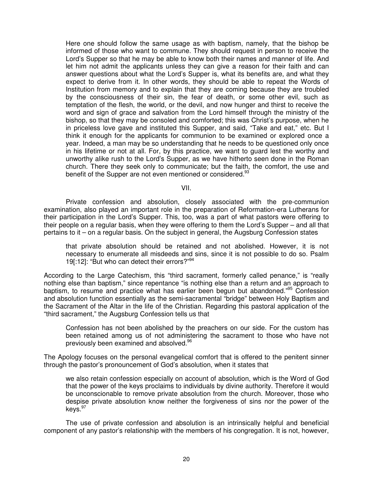Here one should follow the same usage as with baptism, namely, that the bishop be informed of those who want to commune. They should request in person to receive the Lord's Supper so that he may be able to know both their names and manner of life. And let him not admit the applicants unless they can give a reason for their faith and can answer questions about what the Lord's Supper is, what its benefits are, and what they expect to derive from it. In other words, they should be able to repeat the Words of Institution from memory and to explain that they are coming because they are troubled by the consciousness of their sin, the fear of death, or some other evil, such as temptation of the flesh, the world, or the devil, and now hunger and thirst to receive the word and sign of grace and salvation from the Lord himself through the ministry of the bishop, so that they may be consoled and comforted; this was Christ's purpose, when he in priceless love gave and instituted this Supper, and said, "Take and eat," etc. But I think it enough for the applicants for communion to be examined or explored once a year. Indeed, a man may be so understanding that he needs to be questioned only once in his lifetime or not at all. For, by this practice, we want to guard lest the worthy and unworthy alike rush to the Lord's Supper, as we have hitherto seen done in the Roman church. There they seek only to communicate; but the faith, the comfort, the use and benefit of the Supper are not even mentioned or considered.<sup>93</sup>

VII.

Private confession and absolution, closely associated with the pre-communion examination, also played an important role in the preparation of Reformation-era Lutherans for their participation in the Lord's Supper. This, too, was a part of what pastors were offering to their people on a regular basis, when they were offering to them the Lord's Supper – and all that pertains to it – on a regular basis. On the subject in general, the Augsburg Confession states

that private absolution should be retained and not abolished. However, it is not necessary to enumerate all misdeeds and sins, since it is not possible to do so. Psalm 19[:12]: "But who can detect their errors?"<sup>94</sup>

According to the Large Catechism, this "third sacrament, formerly called penance," is "really nothing else than baptism," since repentance "is nothing else than a return and an approach to baptism, to resume and practice what has earlier been begun but abandoned."<sup>95</sup> Confession and absolution function essentially as the semi-sacramental "bridge" between Holy Baptism and the Sacrament of the Altar in the life of the Christian. Regarding this pastoral application of the "third sacrament," the Augsburg Confession tells us that

Confession has not been abolished by the preachers on our side. For the custom has been retained among us of not administering the sacrament to those who have not previously been examined and absolved.<sup>96</sup>

The Apology focuses on the personal evangelical comfort that is offered to the penitent sinner through the pastor's pronouncement of God's absolution, when it states that

we also retain confession especially on account of absolution, which is the Word of God that the power of the keys proclaims to individuals by divine authority. Therefore it would be unconscionable to remove private absolution from the church. Moreover, those who despise private absolution know neither the forgiveness of sins nor the power of the keys.<sup>97</sup>

The use of private confession and absolution is an intrinsically helpful and beneficial component of any pastor's relationship with the members of his congregation. It is not, however,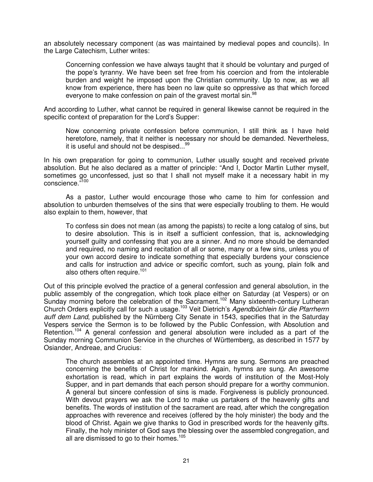an absolutely necessary component (as was maintained by medieval popes and councils). In the Large Catechism, Luther writes:

Concerning confession we have always taught that it should be voluntary and purged of the pope's tyranny. We have been set free from his coercion and from the intolerable burden and weight he imposed upon the Christian community. Up to now, as we all know from experience, there has been no law quite so oppressive as that which forced everyone to make confession on pain of the gravest mortal sin.<sup>98</sup>

And according to Luther, what cannot be required in general likewise cannot be required in the specific context of preparation for the Lord's Supper:

Now concerning private confession before communion, I still think as I have held heretofore, namely, that it neither is necessary nor should be demanded. Nevertheless, it is useful and should not be despised... $99$ 

In his own preparation for going to communion, Luther usually sought and received private absolution. But he also declared as a matter of principle: "And I, Doctor Martin Luther myself, sometimes go unconfessed, just so that I shall not myself make it a necessary habit in my conscience.<sup>"100</sup>

As a pastor, Luther would encourage those who came to him for confession and absolution to unburden themselves of the sins that were especially troubling to them. He would also explain to them, however, that

To confess sin does not mean (as among the papists) to recite a long catalog of sins, but to desire absolution. This is in itself a sufficient confession, that is, acknowledging yourself guilty and confessing that you are a sinner. And no more should be demanded and required, no naming and recitation of all or some, many or a few sins, unless you of your own accord desire to indicate something that especially burdens your conscience and calls for instruction and advice or specific comfort, such as young, plain folk and also others often require.<sup>101</sup>

Out of this principle evolved the practice of a general confession and general absolution, in the public assembly of the congregation, which took place either on Saturday (at Vespers) or on Sunday morning before the celebration of the Sacrament.<sup>102</sup> Many sixteenth-century Lutheran Church Orders explicitly call for such a usage.<sup>103</sup> Veit Dietrich's Agendbüchlein für die Pfarrherrn auff dem Land, published by the Nürnberg City Senate in 1543, specifies that in the Saturday Vespers service the Sermon is to be followed by the Public Confession, with Absolution and Retention.<sup>104</sup> A general confession and general absolution were included as a part of the Sunday morning Communion Service in the churches of Württemberg, as described in 1577 by Osiander, Andreae, and Crucius:

The church assembles at an appointed time. Hymns are sung. Sermons are preached concerning the benefits of Christ for mankind. Again, hymns are sung. An awesome exhortation is read, which in part explains the words of institution of the Most-Holy Supper, and in part demands that each person should prepare for a worthy communion. A general but sincere confession of sins is made. Forgiveness is publicly pronounced. With devout prayers we ask the Lord to make us partakers of the heavenly gifts and benefits. The words of institution of the sacrament are read, after which the congregation approaches with reverence and receives (offered by the holy minister) the body and the blood of Christ. Again we give thanks to God in prescribed words for the heavenly gifts. Finally, the holy minister of God says the blessing over the assembled congregation, and all are dismissed to go to their homes.<sup>105</sup>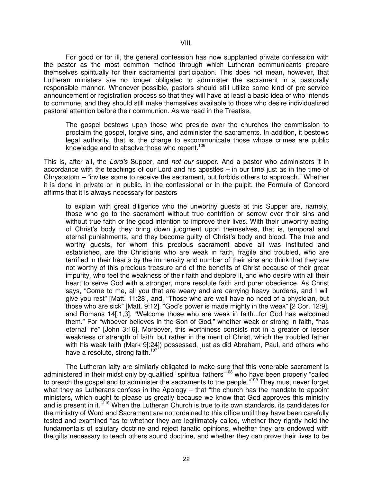For good or for ill, the general confession has now supplanted private confession with the pastor as the most common method through which Lutheran communicants prepare themselves spiritually for their sacramental participation. This does not mean, however, that Lutheran ministers are no longer obligated to administer the sacrament in a pastorally responsible manner. Whenever possible, pastors should still utilize some kind of pre-service announcement or registration process so that they will have at least a basic idea of who intends to commune, and they should still make themselves available to those who desire individualized pastoral attention before their communion. As we read in the Treatise,

The gospel bestows upon those who preside over the churches the commission to proclaim the gospel, forgive sins, and administer the sacraments. In addition, it bestows legal authority, that is, the charge to excommunicate those whose crimes are public knowledge and to absolve those who repent.<sup>106</sup>

This is, after all, the Lord's Supper, and not our supper. And a pastor who administers it in accordance with the teachings of our Lord and his apostles – in our time just as in the time of Chrysostom – "invites some to receive the sacrament, but forbids others to approach." Whether it is done in private or in public, in the confessional or in the pulpit, the Formula of Concord affirms that it is always necessary for pastors

to explain with great diligence who the unworthy guests at this Supper are, namely, those who go to the sacrament without true contrition or sorrow over their sins and without true faith or the good intention to improve their lives. With their unworthy eating of Christ's body they bring down judgment upon themselves, that is, temporal and eternal punishments, and they become guilty of Christ's body and blood. The true and worthy guests, for whom this precious sacrament above all was instituted and established, are the Christians who are weak in faith, fragile and troubled, who are terrified in their hearts by the immensity and number of their sins and think that they are not worthy of this precious treasure and of the benefits of Christ because of their great impurity, who feel the weakness of their faith and deplore it, and who desire with all their heart to serve God with a stronger, more resolute faith and purer obedience. As Christ says, "Come to me, all you that are weary and are carrying heavy burdens, and I will give you rest" [Matt. 11:28], and, "Those who are well have no need of a physician, but those who are sick" [Matt. 9:12]. "God's power is made mighty in the weak" [2 Cor. 12:9], and Romans 14[:1,3], "Welcome those who are weak in faith...for God has welcomed them." For "whoever believes in the Son of God," whether weak or strong in faith, "has eternal life" [John 3:16]. Moreover, this worthiness consists not in a greater or lesser weakness or strength of faith, but rather in the merit of Christ, which the troubled father with his weak faith (Mark 9[:24]) possessed, just as did Abraham, Paul, and others who have a resolute, strong faith.<sup>107</sup>

The Lutheran laity are similarly obligated to make sure that this venerable sacrament is administered in their midst only by qualified "spiritual fathers"<sup>108</sup> who have been properly "called to preach the gospel and to administer the sacraments to the people."<sup>109</sup> They must never forget what they as Lutherans confess in the Apology – that "the church has the mandate to appoint ministers, which ought to please us greatly because we know that God approves this ministry and is present in it.<sup>"110</sup> When the Lutheran Church is true to its own standards, its candidates for the ministry of Word and Sacrament are not ordained to this office until they have been carefully tested and examined "as to whether they are legitimately called, whether they rightly hold the fundamentals of salutary doctrine and reject fanatic opinions, whether they are endowed with the gifts necessary to teach others sound doctrine, and whether they can prove their lives to be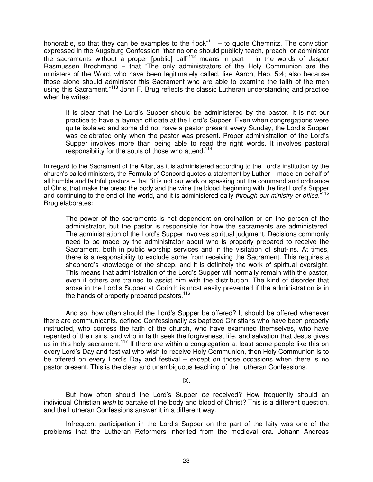honorable, so that they can be examples to the flock $n<sup>111</sup> -$  to quote Chemnitz. The conviction expressed in the Augsburg Confession "that no one should publicly teach, preach, or administer the sacraments without a proper [public] call"<sup>112</sup> means in part  $-$  in the words of Jasper Rasmussen Brochmand – that "The only administrators of the Holy Communion are the ministers of the Word, who have been legitimately called, like Aaron, Heb. 5:4; also because those alone should administer this Sacrament who are able to examine the faith of the men using this Sacrament."<sup>113</sup> John F. Brug reflects the classic Lutheran understanding and practice when he writes:

It is clear that the Lord's Supper should be administered by the pastor. It is not our practice to have a layman officiate at the Lord's Supper. Even when congregations were quite isolated and some did not have a pastor present every Sunday, the Lord's Supper was celebrated only when the pastor was present. Proper administration of the Lord's Supper involves more than being able to read the right words. It involves pastoral responsibility for the souls of those who attend.<sup>114</sup>

In regard to the Sacrament of the Altar, as it is administered according to the Lord's institution by the church's called ministers, the Formula of Concord quotes a statement by Luther – made on behalf of all humble and faithful pastors – that "it is not our work or speaking but the command and ordinance of Christ that make the bread the body and the wine the blood, beginning with the first Lord's Supper and continuing to the end of the world, and it is administered daily through our ministry or office.<sup>"115</sup> Brug elaborates:

The power of the sacraments is not dependent on ordination or on the person of the administrator, but the pastor is responsible for how the sacraments are administered. The administration of the Lord's Supper involves spiritual judgment. Decisions commonly need to be made by the administrator about who is properly prepared to receive the Sacrament, both in public worship services and in the visitation of shut-ins. At times, there is a responsibility to exclude some from receiving the Sacrament. This requires a shepherd's knowledge of the sheep, and it is definitely the work of spiritual oversight. This means that administration of the Lord's Supper will normally remain with the pastor, even if others are trained to assist him with the distribution. The kind of disorder that arose in the Lord's Supper at Corinth is most easily prevented if the administration is in the hands of properly prepared pastors.<sup>116</sup>

And so, how often should the Lord's Supper be offered? It should be offered whenever there are communicants, defined Confessionally as baptized Christians who have been properly instructed, who confess the faith of the church, who have examined themselves, who have repented of their sins, and who in faith seek the forgiveness, life, and salvation that Jesus gives us in this holy sacrament.<sup>117</sup> If there are within a congregation at least some people like this on every Lord's Day and festival who wish to receive Holy Communion, then Holy Communion is to be offered on every Lord's Day and festival – except on those occasions when there is no pastor present. This is the clear and unambiguous teaching of the Lutheran Confessions.

IX.

But how often should the Lord's Supper be received? How frequently should an individual Christian wish to partake of the body and blood of Christ? This is a different question, and the Lutheran Confessions answer it in a different way.

Infrequent participation in the Lord's Supper on the part of the laity was one of the problems that the Lutheran Reformers inherited from the medieval era. Johann Andreas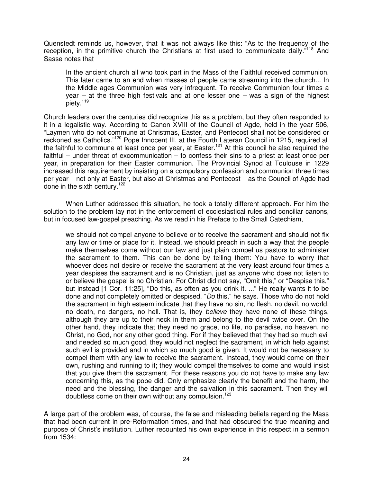Quenstedt reminds us, however, that it was not always like this: "As to the frequency of the reception, in the primitive church the Christians at first used to communicate daily.<sup>"118</sup> And Sasse notes that

In the ancient church all who took part in the Mass of the Faithful received communion. This later came to an end when masses of people came streaming into the church... In the Middle ages Communion was very infrequent. To receive Communion four times a year – at the three high festivals and at one lesser one – was a sign of the highest  $pi$ <sub>119</sub>

Church leaders over the centuries did recognize this as a problem, but they often responded to it in a legalistic way. According to Canon XVIII of the Council of Agde, held in the year 506, "Laymen who do not commune at Christmas, Easter, and Pentecost shall not be considered or reckoned as Catholics."<sup>120</sup> Pope Innocent III, at the Fourth Lateran Council in 1215, required all the faithful to commune at least once per year, at Easter.<sup>121</sup> At this council he also required the faithful – under threat of excommunication – to confess their sins to a priest at least once per year, in preparation for their Easter communion. The Provincial Synod at Toulouse in 1229 increased this requirement by insisting on a compulsory confession and communion three times per year – not only at Easter, but also at Christmas and Pentecost – as the Council of Agde had done in the sixth century.<sup>122</sup>

When Luther addressed this situation, he took a totally different approach. For him the solution to the problem lay not in the enforcement of ecclesiastical rules and conciliar canons, but in focused law-gospel preaching. As we read in his Preface to the Small Catechism,

we should not compel anyone to believe or to receive the sacrament and should not fix any law or time or place for it. Instead, we should preach in such a way that the people make themselves come without our law and just plain compel us pastors to administer the sacrament to them. This can be done by telling them: You have to worry that whoever does not desire or receive the sacrament at the very least around four times a year despises the sacrament and is no Christian, just as anyone who does not listen to or believe the gospel is no Christian. For Christ did not say, "Omit this," or "Despise this," but instead [1 Cor. 11:25], "Do this, as often as you drink it. ..." He really wants it to be done and not completely omitted or despised. "Do this," he says. Those who do not hold the sacrament in high esteem indicate that they have no sin, no flesh, no devil, no world, no death, no dangers, no hell. That is, they believe they have none of these things, although they are up to their neck in them and belong to the devil twice over. On the other hand, they indicate that they need no grace, no life, no paradise, no heaven, no Christ, no God, nor any other good thing. For if they believed that they had so much evil and needed so much good, they would not neglect the sacrament, in which help against such evil is provided and in which so much good is given. It would not be necessary to compel them with any law to receive the sacrament. Instead, they would come on their own, rushing and running to it; they would compel themselves to come and would insist that you give them the sacrament. For these reasons you do not have to make any law concerning this, as the pope did. Only emphasize clearly the benefit and the harm, the need and the blessing, the danger and the salvation in this sacrament. Then they will doubtless come on their own without any compulsion.<sup>123</sup>

A large part of the problem was, of course, the false and misleading beliefs regarding the Mass that had been current in pre-Reformation times, and that had obscured the true meaning and purpose of Christ's institution. Luther recounted his own experience in this respect in a sermon from 1534: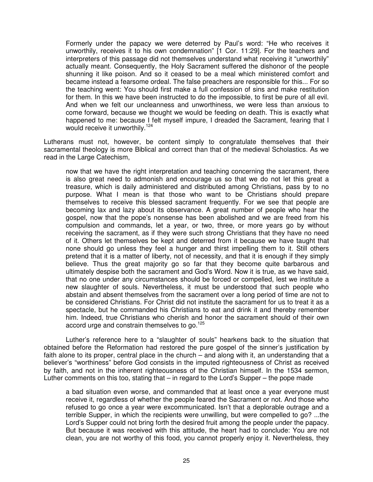Formerly under the papacy we were deterred by Paul's word: "He who receives it unworthily, receives it to his own condemnation" [1 Cor. 11:29]. For the teachers and interpreters of this passage did not themselves understand what receiving it "unworthily" actually meant. Consequently, the Holy Sacrament suffered the dishonor of the people shunning it like poison. And so it ceased to be a meal which ministered comfort and became instead a fearsome ordeal. The false preachers are responsible for this... For so the teaching went: You should first make a full confession of sins and make restitution for them. In this we have been instructed to do the impossible, to first be pure of all evil. And when we felt our uncleanness and unworthiness, we were less than anxious to come forward, because we thought we would be feeding on death. This is exactly what happened to me: because I felt myself impure, I dreaded the Sacrament, fearing that I would receive it unworthily.<sup>124</sup>

Lutherans must not, however, be content simply to congratulate themselves that their sacramental theology is more Biblical and correct than that of the medieval Scholastics. As we read in the Large Catechism,

now that we have the right interpretation and teaching concerning the sacrament, there is also great need to admonish and encourage us so that we do not let this great a treasure, which is daily administered and distributed among Christians, pass by to no purpose. What I mean is that those who want to be Christians should prepare themselves to receive this blessed sacrament frequently. For we see that people are becoming lax and lazy about its observance. A great number of people who hear the gospel, now that the pope's nonsense has been abolished and we are freed from his compulsion and commands, let a year, or two, three, or more years go by without receiving the sacrament, as if they were such strong Christians that they have no need of it. Others let themselves be kept and deterred from it because we have taught that none should go unless they feel a hunger and thirst impelling them to it. Still others pretend that it is a matter of liberty, not of necessity, and that it is enough if they simply believe. Thus the great majority go so far that they become quite barbarous and ultimately despise both the sacrament and God's Word. Now it is true, as we have said, that no one under any circumstances should be forced or compelled, lest we institute a new slaughter of souls. Nevertheless, it must be understood that such people who abstain and absent themselves from the sacrament over a long period of time are not to be considered Christians. For Christ did not institute the sacrament for us to treat it as a spectacle, but he commanded his Christians to eat and drink it and thereby remember him. Indeed, true Christians who cherish and honor the sacrament should of their own accord urge and constrain themselves to go.<sup>125</sup>

Luther's reference here to a "slaughter of souls" hearkens back to the situation that obtained before the Reformation had restored the pure gospel of the sinner's justification by faith alone to its proper, central place in the church – and along with it, an understanding that a believer's "worthiness" before God consists in the imputed righteousness of Christ as received by faith, and not in the inherent righteousness of the Christian himself. In the 1534 sermon, Luther comments on this too, stating that – in regard to the Lord's Supper – the pope made

a bad situation even worse, and commanded that at least once a year everyone must receive it, regardless of whether the people feared the Sacrament or not. And those who refused to go once a year were excommunicated. Isn't that a deplorable outrage and a terrible Supper, in which the recipients were unwilling, but were compelled to go? ...the Lord's Supper could not bring forth the desired fruit among the people under the papacy. But because it was received with this attitude, the heart had to conclude: You are not clean, you are not worthy of this food, you cannot properly enjoy it. Nevertheless, they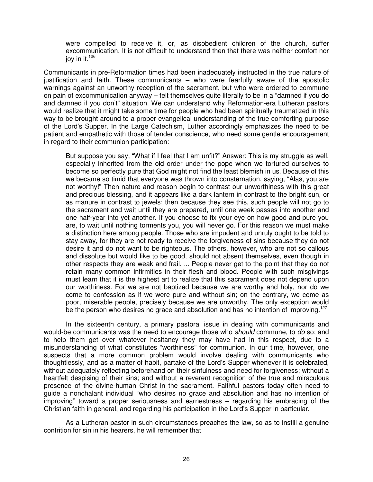were compelled to receive it, or, as disobedient children of the church, suffer excommunication. It is not difficult to understand then that there was neither comfort nor joy in it. $126$ 

Communicants in pre-Reformation times had been inadequately instructed in the true nature of justification and faith. These communicants – who were fearfully aware of the apostolic warnings against an unworthy reception of the sacrament, but who were ordered to commune on pain of excommunication anyway – felt themselves quite literally to be in a "damned if you do and damned if you don't" situation. We can understand why Reformation-era Lutheran pastors would realize that it might take some time for people who had been spiritually traumatized in this way to be brought around to a proper evangelical understanding of the true comforting purpose of the Lord's Supper. In the Large Catechism, Luther accordingly emphasizes the need to be patient and empathetic with those of tender conscience, who need some gentle encouragement in regard to their communion participation:

But suppose you say, "What if I feel that I am unfit?" Answer: This is my struggle as well, especially inherited from the old order under the pope when we tortured ourselves to become so perfectly pure that God might not find the least blemish in us. Because of this we became so timid that everyone was thrown into consternation, saying, "Alas, you are not worthy!" Then nature and reason begin to contrast our unworthiness with this great and precious blessing, and it appears like a dark lantern in contrast to the bright sun, or as manure in contrast to jewels; then because they see this, such people will not go to the sacrament and wait until they are prepared, until one week passes into another and one half-year into yet another. If you choose to fix your eye on how good and pure you are, to wait until nothing torments you, you will never go. For this reason we must make a distinction here among people. Those who are impudent and unruly ought to be told to stay away, for they are not ready to receive the forgiveness of sins because they do not desire it and do not want to be righteous. The others, however, who are not so callous and dissolute but would like to be good, should not absent themselves, even though in other respects they are weak and frail. ... People never get to the point that they do not retain many common infirmities in their flesh and blood. People with such misgivings must learn that it is the highest art to realize that this sacrament does not depend upon our worthiness. For we are not baptized because we are worthy and holy, nor do we come to confession as if we were pure and without sin; on the contrary, we come as poor, miserable people, precisely because we are unworthy. The only exception would be the person who desires no grace and absolution and has no intention of improving.<sup>127</sup>

In the sixteenth century, a primary pastoral issue in dealing with communicants and would-be communicants was the need to encourage those who *should* commune, to do so; and to help them get over whatever hesitancy they may have had in this respect, due to a misunderstanding of what constitutes "worthiness" for communion. In our time, however, one suspects that a more common problem would involve dealing with communicants who thoughtlessly, and as a matter of habit, partake of the Lord's Supper whenever it is celebrated, without adequately reflecting beforehand on their sinfulness and need for forgiveness; without a heartfelt despising of their sins; and without a reverent recognition of the true and miraculous presence of the divine-human Christ in the sacrament. Faithful pastors today often need to guide a nonchalant individual "who desires no grace and absolution and has no intention of improving" toward a proper seriousness and earnestness – regarding his embracing of the Christian faith in general, and regarding his participation in the Lord's Supper in particular.

As a Lutheran pastor in such circumstances preaches the law, so as to instill a genuine contrition for sin in his hearers, he will remember that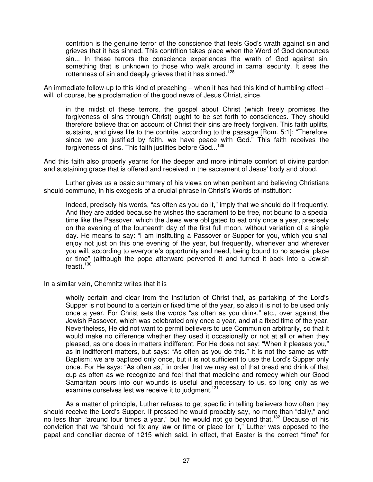contrition is the genuine terror of the conscience that feels God's wrath against sin and grieves that it has sinned. This contrition takes place when the Word of God denounces sin... In these terrors the conscience experiences the wrath of God against sin, something that is unknown to those who walk around in carnal security. It sees the rottenness of sin and deeply grieves that it has sinned.<sup>128</sup>

An immediate follow-up to this kind of preaching  $-$  when it has had this kind of humbling effect  $$ will, of course, be a proclamation of the good news of Jesus Christ, since,

in the midst of these terrors, the gospel about Christ (which freely promises the forgiveness of sins through Christ) ought to be set forth to consciences. They should therefore believe that on account of Christ their sins are freely forgiven. This faith uplifts, sustains, and gives life to the contrite, according to the passage [Rom. 5:1]: "Therefore, since we are justified by faith, we have peace with God." This faith receives the forgiveness of sins. This faith justifies before God...<sup>129</sup>

And this faith also properly yearns for the deeper and more intimate comfort of divine pardon and sustaining grace that is offered and received in the sacrament of Jesus' body and blood.

Luther gives us a basic summary of his views on when penitent and believing Christians should commune, in his exegesis of a crucial phrase in Christ's Words of Institution:

Indeed, precisely his words, "as often as you do it," imply that we should do it frequently. And they are added because he wishes the sacrament to be free, not bound to a special time like the Passover, which the Jews were obligated to eat only once a year, precisely on the evening of the fourteenth day of the first full moon, without variation of a single day. He means to say: "I am instituting a Passover or Supper for you, which you shall enjoy not just on this one evening of the year, but frequently, whenever and wherever you will, according to everyone's opportunity and need, being bound to no special place or time" (although the pope afterward perverted it and turned it back into a Jewish feast). $130$ 

In a similar vein, Chemnitz writes that it is

wholly certain and clear from the institution of Christ that, as partaking of the Lord's Supper is not bound to a certain or fixed time of the year, so also it is not to be used only once a year. For Christ sets the words "as often as you drink," etc., over against the Jewish Passover, which was celebrated only once a year, and at a fixed time of the year. Nevertheless, He did not want to permit believers to use Communion arbitrarily, so that it would make no difference whether they used it occasionally or not at all or when they pleased, as one does in matters indifferent. For He does not say: "When it pleases you," as in indifferent matters, but says: "As often as you do this." It is not the same as with Baptism; we are baptized only once, but it is not sufficient to use the Lord's Supper only once. For He says: "As often as," in order that we may eat of that bread and drink of that cup as often as we recognize and feel that that medicine and remedy which our Good Samaritan pours into our wounds is useful and necessary to us, so long only as we examine ourselves lest we receive it to judgment.<sup>131</sup>

As a matter of principle, Luther refuses to get specific in telling believers how often they should receive the Lord's Supper. If pressed he would probably say, no more than "daily," and no less than "around four times a year," but he would not go beyond that.<sup>132</sup> Because of his conviction that we "should not fix any law or time or place for it," Luther was opposed to the papal and conciliar decree of 1215 which said, in effect, that Easter is the correct "time" for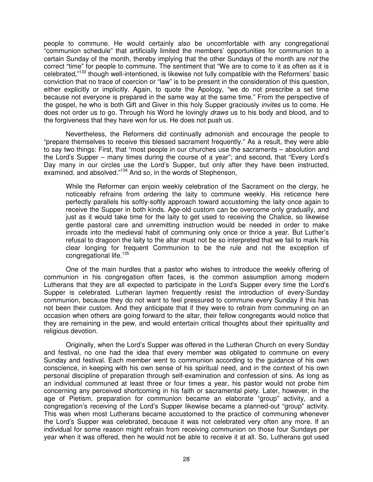people to commune. He would certainly also be uncomfortable with any congregational "communion schedule" that artificially limited the members' opportunities for communion to a certain Sunday of the month, thereby implying that the other Sundays of the month are not the correct "time" for people to commune. The sentiment that "We are to come to it as often as it is celebrated,"<sup>133</sup> though well-intentioned, is likewise not fully compatible with the Reformers' basic conviction that no trace of coercion or "law" is to be present in the consideration of this question, either explicitly or implicitly. Again, to quote the Apology, "we do not prescribe a set time because not everyone is prepared in the same way at the same time." From the perspective of the gospel, he who is both Gift and Giver in this holy Supper graciously *invites* us to come. He does not order us to go. Through his Word he lovingly *draws* us to his body and blood, and to the forgiveness that they have won for us. He does not push us.

Nevertheless, the Reformers did continually admonish and encourage the people to "prepare themselves to receive this blessed sacrament frequently." As a result, they were able to say two things: First, that "most people in our churches use the sacraments – absolution and the Lord's Supper – many times during the course of a year"; and second, that "Every Lord's Day many in our circles use the Lord's Supper, but only after they have been instructed, examined, and absolved."<sup>134</sup> And so, in the words of Stephenson,

While the Reformer can enjoin weekly celebration of the Sacrament on the clergy, he noticeably refrains from ordering the laity to commune weekly. His reticence here perfectly parallels his softly-softly approach toward accustoming the laity once again to receive the Supper in both kinds. Age-old custom can be overcome only gradually, and just as it would take time for the laity to get used to receiving the Chalice, so likewise gentle pastoral care and unremitting instruction would be needed in order to make inroads into the medieval habit of communing only once or thrice a year. But Luther's refusal to dragoon the laity to the altar must not be so interpreted that we fail to mark his clear longing for frequent Communion to be the rule and not the exception of congregational life.<sup>135</sup>

One of the main hurdles that a pastor who wishes to introduce the weekly offering of communion in his congregation often faces, is the common assumption among modern Lutherans that they are all expected to participate in the Lord's Supper every time the Lord's Supper is celebrated. Lutheran laymen frequently resist the introduction of every-Sunday communion, because they do not want to feel pressured to commune every Sunday if this has not been their custom. And they anticipate that if they were to refrain from communing on an occasion when others are going forward to the altar, their fellow congregants would notice that they are remaining in the pew, and would entertain critical thoughts about their spirituality and religious devotion.

Originally, when the Lord's Supper was offered in the Lutheran Church on every Sunday and festival, no one had the idea that every member was obligated to commune on every Sunday and festival. Each member went to communion according to the guidance of his own conscience, in keeping with his own sense of his spiritual need, and in the context of his own personal discipline of preparation through self-examination and confession of sins. As long as an individual communed at least three or four times a year, his pastor would not probe him concerning any perceived shortcoming in his faith or sacramental piety. Later, however, in the age of Pietism, preparation for communion became an elaborate "group" activity, and a congregation's receiving of the Lord's Supper likewise became a planned-out "group" activity. This was when most Lutherans became accustomed to the practice of communing whenever the Lord's Supper was celebrated, because it was not celebrated very often any more. If an individual for some reason might refrain from receiving communion on those four Sundays per year when it was offered, then he would not be able to receive it at all. So, Lutherans got used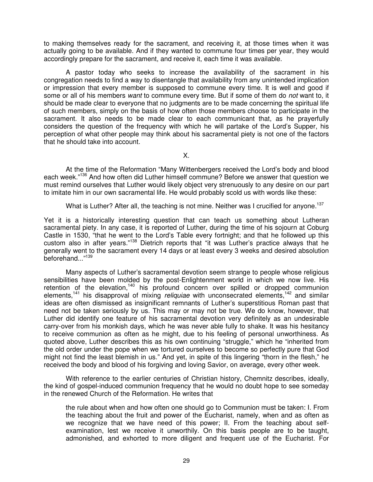to making themselves ready for the sacrament, and receiving it, at those times when it was actually going to be available. And if they wanted to commune four times per year, they would accordingly prepare for the sacrament, and receive it, each time it was available.

A pastor today who seeks to increase the availability of the sacrament in his congregation needs to find a way to disentangle that availability from any unintended implication or impression that every member is supposed to commune every time. It is well and good if some or all of his members want to commune every time. But if some of them do not want to, it should be made clear to everyone that no judgments are to be made concerning the spiritual life of such members, simply on the basis of how often those members choose to participate in the sacrament. It also needs to be made clear to each communicant that, as he prayerfully considers the question of the frequency with which he will partake of the Lord's Supper, his perception of what other people may think about his sacramental piety is not one of the factors that he should take into account.

X.

At the time of the Reformation "Many Wittenbergers received the Lord's body and blood each week."<sup>136</sup> And how often did Luther himself commune? Before we answer that question we must remind ourselves that Luther would likely object very strenuously to any desire on our part to imitate him in our own sacramental life. He would probably scold us with words like these:

What is Luther? After all, the teaching is not mine. Neither was I crucified for anyone.<sup>137</sup>

Yet it is a historically interesting question that can teach us something about Lutheran sacramental piety. In any case, it is reported of Luther, during the time of his sojourn at Coburg Castle in 1530, "that he went to the Lord's Table every fortnight; and that he followed up this custom also in after years."<sup>138</sup> Dietrich reports that "it was Luther's practice always that he generally went to the sacrament every 14 days or at least every 3 weeks and desired absolution beforehand..."<sup>139</sup>

Many aspects of Luther's sacramental devotion seem strange to people whose religious sensibilities have been molded by the post-Enlightenment world in which we now live. His retention of the elevation, $140$  his profound concern over spilled or dropped communion elements,<sup>141</sup> his disapproval of mixing *reliquiae* with unconsecrated elements,<sup>142</sup> and similar ideas are often dismissed as insignificant remnants of Luther's superstitious Roman past that need not be taken seriously by us. This may or may not be true. We do know, however, that Luther did identify one feature of his sacramental devotion very definitely as an undesirable carry-over from his monkish days, which he was never able fully to shake. It was his hesitancy to receive communion as often as he might, due to his feeling of personal unworthiness. As quoted above, Luther describes this as his own continuing "struggle," which he "inherited from the old order under the pope when we tortured ourselves to become so perfectly pure that God might not find the least blemish in us." And yet, in spite of this lingering "thorn in the flesh," he received the body and blood of his forgiving and loving Savior, on average, every other week.

With reference to the earlier centuries of Christian history, Chemnitz describes, ideally, the kind of gospel-induced communion frequency that he would no doubt hope to see someday in the renewed Church of the Reformation. He writes that

the rule about when and how often one should go to Communion must be taken: I. From the teaching about the fruit and power of the Eucharist, namely, when and as often as we recognize that we have need of this power; II. From the teaching about selfexamination, lest we receive it unworthily. On this basis people are to be taught, admonished, and exhorted to more diligent and frequent use of the Eucharist. For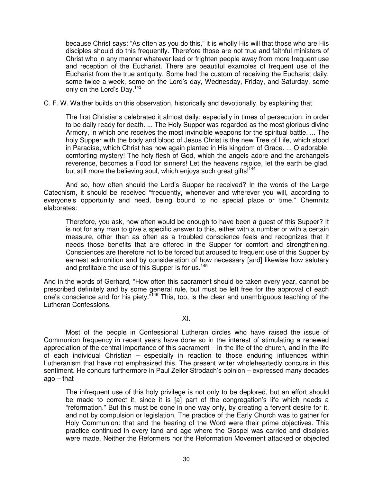because Christ says: "As often as you do this," it is wholly His will that those who are His disciples should do this frequently. Therefore those are not true and faithful ministers of Christ who in any manner whatever lead or frighten people away from more frequent use and reception of the Eucharist. There are beautiful examples of frequent use of the Eucharist from the true antiquity. Some had the custom of receiving the Eucharist daily, some twice a week, some on the Lord's day, Wednesday, Friday, and Saturday, some only on the Lord's Day.<sup>143</sup>

C. F. W. Walther builds on this observation, historically and devotionally, by explaining that

The first Christians celebrated it almost daily; especially in times of persecution, in order to be daily ready for death. ... The Holy Supper was regarded as the most glorious divine Armory, in which one receives the most invincible weapons for the spiritual battle. ... The holy Supper with the body and blood of Jesus Christ is the new Tree of Life, which stood in Paradise, which Christ has now again planted in His kingdom of Grace. ... O adorable, comforting mystery! The holy flesh of God, which the angels adore and the archangels reverence, becomes a Food for sinners! Let the heavens rejoice, let the earth be glad, but still more the believing soul, which enjoys such great gifts!<sup>144</sup>

And so, how often should the Lord's Supper be received? In the words of the Large Catechism, it should be received "frequently, whenever and wherever you will, according to everyone's opportunity and need, being bound to no special place or time." Chemnitz elaborates:

Therefore, you ask, how often would be enough to have been a guest of this Supper? It is not for any man to give a specific answer to this, either with a number or with a certain measure, other than as often as a troubled conscience feels and recognizes that it needs those benefits that are offered in the Supper for comfort and strengthening. Consciences are therefore not to be forced but aroused to frequent use of this Supper by earnest admonition and by consideration of how necessary [and] likewise how salutary and profitable the use of this Supper is for us.<sup>145</sup>

And in the words of Gerhard, "How often this sacrament should be taken every year, cannot be prescribed definitely and by some general rule, but must be left free for the approval of each one's conscience and for his piety."<sup>146</sup> This, too, is the clear and unambiguous teaching of the Lutheran Confessions.

XI.

Most of the people in Confessional Lutheran circles who have raised the issue of Communion frequency in recent years have done so in the interest of stimulating a renewed appreciation of the central importance of this sacrament – in the life of the church, and in the life of each individual Christian – especially in reaction to those enduring influences within Lutheranism that have not emphasized this. The present writer wholeheartedly concurs in this sentiment. He concurs furthermore in Paul Zeller Strodach's opinion – expressed many decades ago – that

The infrequent use of this holy privilege is not only to be deplored, but an effort should be made to correct it, since it is [a] part of the congregation's life which needs a "reformation." But this must be done in one way only, by creating a fervent desire for it, and not by compulsion or legislation. The practice of the Early Church was to gather for Holy Communion: that and the hearing of the Word were their prime objectives. This practice continued in every land and age where the Gospel was carried and disciples were made. Neither the Reformers nor the Reformation Movement attacked or objected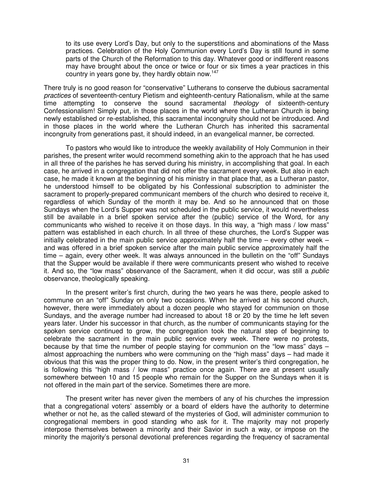to its use every Lord's Day, but only to the superstitions and abominations of the Mass practices. Celebration of the Holy Communion every Lord's Day is still found in some parts of the Church of the Reformation to this day. Whatever good or indifferent reasons may have brought about the once or twice or four or six times a year practices in this country in years gone by, they hardly obtain now.<sup>147</sup>

There truly is no good reason for "conservative" Lutherans to conserve the dubious sacramental practices of seventeenth-century Pietism and eighteenth-century Rationalism, while at the same time attempting to conserve the sound sacramental theology of sixteenth-century Confessionalism! Simply put, in those places in the world where the Lutheran Church is being newly established or re-established, this sacramental incongruity should not be introduced. And in those places in the world where the Lutheran Church has inherited this sacramental incongruity from generations past, it should indeed, in an evangelical manner, be corrected.

To pastors who would like to introduce the weekly availability of Holy Communion in their parishes, the present writer would recommend something akin to the approach that he has used in all three of the parishes he has served during his ministry, in accomplishing that goal. In each case, he arrived in a congregation that did not offer the sacrament every week. But also in each case, he made it known at the beginning of his ministry in that place that, as a Lutheran pastor, he understood himself to be obligated by his Confessional subscription to administer the sacrament to properly-prepared communicant members of the church who desired to receive it, regardless of which Sunday of the month it may be. And so he announced that on those Sundays when the Lord's Supper was not scheduled in the public service, it would nevertheless still be available in a brief spoken service after the (public) service of the Word, for any communicants who wished to receive it on those days. In this way, a "high mass / low mass" pattern was established in each church. In all three of these churches, the Lord's Supper was initially celebrated in the main public service approximately half the time – every other week – and was offered in a brief spoken service after the main public service approximately half the time – again, every other week. It was always announced in the bulletin on the "off" Sundays that the Supper would be available if there were communicants present who wished to receive it. And so, the "low mass" observance of the Sacrament, when it did occur, was still a *public* observance, theologically speaking.

In the present writer's first church, during the two years he was there, people asked to commune on an "off" Sunday on only two occasions. When he arrived at his second church, however, there were immediately about a dozen people who stayed for communion on those Sundays, and the average number had increased to about 18 or 20 by the time he left seven years later. Under his successor in that church, as the number of communicants staying for the spoken service continued to grow, the congregation took the natural step of beginning to celebrate the sacrament in the main public service every week. There were no protests, because by that time the number of people staying for communion on the "low mass" days – almost approaching the numbers who were communing on the "high mass" days – had made it obvious that this was the proper thing to do. Now, in the present writer's third congregation, he is following this "high mass / low mass" practice once again. There are at present usually somewhere between 10 and 15 people who remain for the Supper on the Sundays when it is not offered in the main part of the service. Sometimes there are more.

The present writer has never given the members of any of his churches the impression that a congregational voters' assembly or a board of elders have the authority to determine whether or not he, as the called steward of the mysteries of God, will administer communion to congregational members in good standing who ask for it. The majority may not properly interpose themselves between a minority and their Savior in such a way, or impose on the minority the majority's personal devotional preferences regarding the frequency of sacramental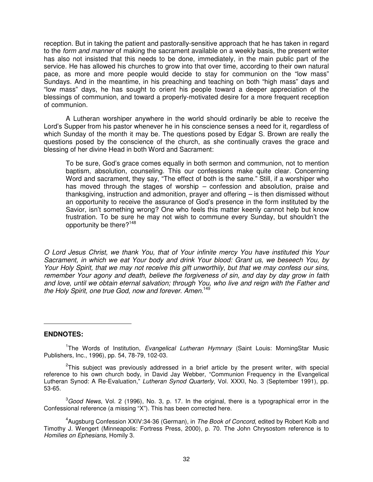reception. But in taking the patient and pastorally-sensitive approach that he has taken in regard to the *form and manner* of making the sacrament available on a weekly basis, the present writer has also not insisted that this needs to be done, immediately, in the main public part of the service. He has allowed his churches to grow into that over time, according to their own natural pace, as more and more people would decide to stay for communion on the "low mass" Sundays. And in the meantime, in his preaching and teaching on both "high mass" days and "low mass" days, he has sought to orient his people toward a deeper appreciation of the blessings of communion, and toward a properly-motivated desire for a more frequent reception of communion.

A Lutheran worshiper anywhere in the world should ordinarily be able to receive the Lord's Supper from his pastor whenever he in his conscience senses a need for it, regardless of which Sunday of the month it may be. The questions posed by Edgar S. Brown are really the questions posed by the conscience of the church, as she continually craves the grace and blessing of her divine Head in both Word and Sacrament:

To be sure, God's grace comes equally in both sermon and communion, not to mention baptism, absolution, counseling. This our confessions make quite clear. Concerning Word and sacrament, they say, "The effect of both is the same." Still, if a worshiper who has moved through the stages of worship – confession and absolution, praise and thanksgiving, instruction and admonition, prayer and offering – is then dismissed without an opportunity to receive the assurance of God's presence in the form instituted by the Savior, isn't something wrong? One who feels this matter keenly cannot help but know frustration. To be sure he may not wish to commune every Sunday, but shouldn't the opportunity be there?<sup>148</sup>

O Lord Jesus Christ, we thank You, that of Your infinite mercy You have instituted this Your Sacrament, in which we eat Your body and drink Your blood: Grant us, we beseech You, by Your Holy Spirit, that we may not receive this gift unworthily, but that we may confess our sins, remember Your agony and death, believe the forgiveness of sin, and day by day grow in faith and love, until we obtain eternal salvation; through You, who live and reign with the Father and the Holy Spirit, one true God, now and forever. Amen.<sup>149</sup>

## **ENDNOTES:**

 $\overline{a}$ 

<sup>1</sup>The Words of Institution, Evangelical Lutheran Hymnary (Saint Louis: MorningStar Music Publishers, Inc., 1996), pp. 54, 78-79, 102-03.

 $2$ This subject was previously addressed in a brief article by the present writer, with special reference to his own church body, in David Jay Webber, "Communion Frequency in the Evangelical Lutheran Synod: A Re-Evaluation," Lutheran Synod Quarterly, Vol. XXXI, No. 3 (September 1991), pp. 53-65.

 $3Good$  News, Vol. 2 (1996), No. 3, p. 17. In the original, there is a typographical error in the Confessional reference (a missing "X"). This has been corrected here.

<sup>4</sup>Augsburg Confession XXIV:34-36 (German), in The Book of Concord, edited by Robert Kolb and Timothy J. Wengert (Minneapolis: Fortress Press, 2000), p. 70. The John Chrysostom reference is to Homilies on Ephesians, Homily 3.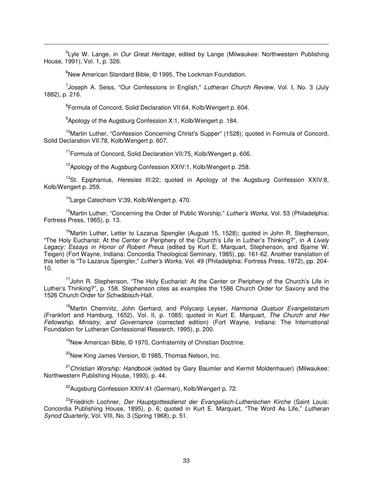<sup>5</sup>Lyle W. Lange, in *Our Great Heritage*, edited by Lange (Milwaukee: Northwestern Publishing House, 1991), Vol. 1, p. 326.

 $6$ New American Standard Bible,  $©$  1995. The Lockman Foundation.

<sup>7</sup>Joseph A. Seiss, "Our Confessions in English," Lutheran Church Review, Vol. I, No. 3 (July 1882), p. 216.

<sup>8</sup> Formula of Concord, Solid Declaration VII:64, Kolb/Wengert p. 604.

<sup>9</sup>Apology of the Augsburg Confession X:1, Kolb/Wengert p. 184.

<sup>10</sup>Martin Luther, "Confession Concerning Christ's Supper" (1528); quoted in Formula of Concord, Solid Declaration VII:78, Kolb/Wengert p. 607.

<sup>11</sup> Formula of Concord, Solid Declaration VII:75, Kolb/Wengert p. 606.

<sup>12</sup>Apology of the Augsburg Confession XXIV:1, Kolb/Wengert p. 258.

<sup>13</sup>St. Epiphanius, Heresies III:22; quoted in Apology of the Augsburg Confession XXIV:8, Kolb/Wengert p. 259.

<sup>14</sup>Large Catechism V:39, Kolb/Wengert p. 470.

 $\overline{a}$ 

<sup>15</sup> Martin Luther, "Concerning the Order of Public Worship," Luther's Works, Vol. 53 (Philadelphia: Fortress Press, 1965), p. 13.

<sup>16</sup>Martin Luther, Letter to Lazarus Spengler (August 15, 1528); quoted in John R. Stephenson, "The Holy Eucharist: At the Center or Periphery of the Church's Life in Luther's Thinking?", in A Lively Legacy: Essays in Honor of Robert Preus (edited by Kurt E. Marquart, Stephenson, and Bjarne W. Teigen) (Fort Wayne, Indiana: Concordia Theological Seminary, 1985), pp. 161-62. Another translation of this letter is "To Lazarus Spengler," Luther's Works, Vol. 49 (Philadelphia: Fortress Press, 1972), pp. 204- 10.

 $17$ John R. Stephenson, "The Holy Eucharist: At the Center or Periphery of the Church's Life in Luther's Thinking?", p. 158. Stephenson cites as examples the 1586 Church Order for Saxony and the 1526 Church Order for Schwäbisch-Hall.

<sup>18</sup>Martin Chemnitz, John Gerhard, and Polycarp Leyser, Harmonia Quatuor Evangelistarum (Frankfort and Hamburg, 1652), Vol. II, p. 1085; quoted in Kurt E. Marquart, The Church and Her Fellowship, Ministry, and Governance (corrected edition) (Fort Wayne, Indiana: The International Foundation for Lutheran Confessional Research, 1995), p. 200.

<sup>19</sup>New American Bible,  $\odot$  1970, Confraternity of Christian Doctrine.

<sup>20</sup>New King James Version, © 1985, Thomas Nelson, Inc.

 $21$ Christian Worship: Handbook (edited by Gary Baumler and Kermit Moldenhauer) (Milwaukee: Northwestern Publishing House, 1993), p. 44.

<sup>22</sup>Augsburg Confession XXIV:41 (German), Kolb/Wengert p. 72.

<sup>23</sup>Friedrich Lochner, Der Hauptgottesdienst der Evangelisch-Lutherischen Kirche (Saint Louis: Concordia Publishing House, 1895), p. 6; quoted in Kurt E. Marquart, "The Word As Life," Lutheran Synod Quarterly, Vol. VIII, No. 3 (Spring 1968), p. 51.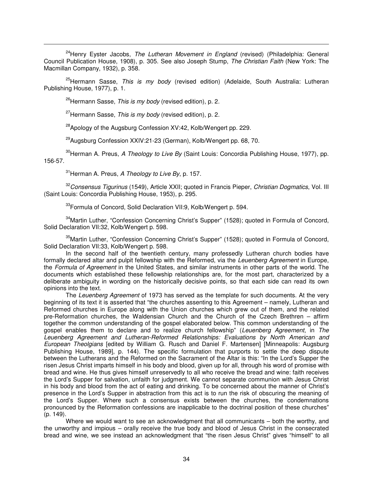<sup>24</sup>Henry Eyster Jacobs, The Lutheran Movement in England (revised) (Philadelphia: General Council Publication House, 1908), p. 305. See also Joseph Stump, The Christian Faith (New York: The Macmillan Company, 1932), p. 358.

 $25$ Hermann Sasse, This is my body (revised edition) (Adelaide, South Australia: Lutheran Publishing House, 1977), p. 1.

 $26$ Hermann Sasse, This is my body (revised edition), p. 2.

 $\overline{a}$ 

 $^{27}$ Hermann Sasse, This is my body (revised edition), p. 2.

 $^{28}$ Apology of the Augsburg Confession XV:42, Kolb/Wengert pp. 229.

<sup>29</sup>Augsburg Confession XXIV:21-23 (German), Kolb/Wengert pp. 68, 70.

<sup>30</sup>Herman A. Preus, A Theology to Live By (Saint Louis: Concordia Publishing House, 1977), pp. 156-57.

 $31$ Herman A. Preus, A Theology to Live By, p. 157.

<sup>32</sup> Consensus Tigurinus (1549), Article XXII; quoted in Francis Pieper, Christian Dogmatics, Vol. III (Saint Louis: Concordia Publishing House, 1953), p. 295.

<sup>33</sup>Formula of Concord, Solid Declaration VII:9, Kolb/Wengert p. 594.

<sup>34</sup>Martin Luther, "Confession Concerning Christ's Supper" (1528); quoted in Formula of Concord, Solid Declaration VII:32, Kolb/Wengert p. 598.

<sup>35</sup>Martin Luther, "Confession Concerning Christ's Supper" (1528); quoted in Formula of Concord, Solid Declaration VII:33, Kolb/Wengert p. 598.

In the second half of the twentieth century, many professedly Lutheran church bodies have formally declared altar and pulpit fellowship with the Reformed, via the Leuenberg Agreement in Europe, the Formula of Agreement in the United States, and similar instruments in other parts of the world. The documents which established these fellowship relationships are, for the most part, characterized by a deliberate ambiguity in wording on the historically decisive points, so that each side can read its own opinions into the text.

The Leuenberg Agreement of 1973 has served as the template for such documents. At the very beginning of its text it is asserted that "the churches assenting to this Agreement – namely, Lutheran and Reformed churches in Europe along with the Union churches which grew out of them, and the related pre-Reformation churches, the Waldensian Church and the Church of the Czech Brethren – affirm together the common understanding of the gospel elaborated below. This common understanding of the gospel enables them to declare and to realize church fellowship" (Leuenberg Agreement, in The Leuenberg Agreement and Lutheran-Reformed Relationships: Evaluations by North American and European Theolgians [edited by William G. Rusch and Daniel F. Martensen] [Minneapolis: Augsburg Publishing House, 1989], p. 144). The specific formulation that purports to settle the deep dispute between the Lutherans and the Reformed on the Sacrament of the Altar is this: "In the Lord's Supper the risen Jesus Christ imparts himself in his body and blood, given up for all, through his word of promise with bread and wine. He thus gives himself unreservedly to all who receive the bread and wine: faith receives the Lord's Supper for salvation, unfaith for judgment. We cannot separate communion with Jesus Christ in his body and blood from the act of eating and drinking. To be concerned about the manner of Christ's presence in the Lord's Supper in abstraction from this act is to run the risk of obscuring the meaning of the Lord's Supper. Where such a consensus exists between the churches, the condemnations pronounced by the Reformation confessions are inapplicable to the doctrinal position of these churches" (p. 149).

Where we would want to see an acknowledgment that all communicants – both the worthy, and the unworthy and impious – orally receive the true body and blood of Jesus Christ in the consecrated bread and wine, we see instead an acknowledgment that "the risen Jesus Christ" gives "himself" to all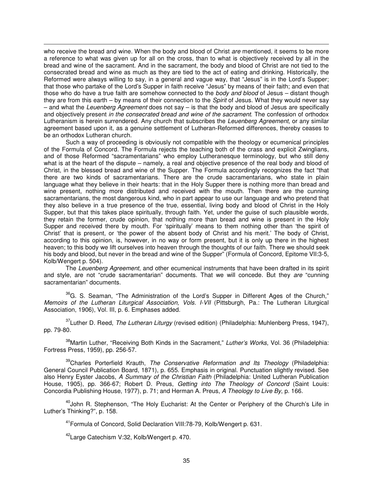who receive the bread and wine. When the body and blood of Christ *are* mentioned, it seems to be more a reference to what was given up for all on the cross, than to what is objectively received by all in the bread and wine of the sacrament. And in the sacrament, the body and blood of Christ are not tied to the consecrated bread and wine as much as they are tied to the act of eating and drinking. Historically, the Reformed were always willing to say, in a general and vague way, that "Jesus" is in the Lord's Supper; that those who partake of the Lord's Supper in faith receive "Jesus" by means of their faith; and even that those who do have a true faith are somehow connected to the body and blood of Jesus – distant though they are from this earth – by means of their connection to the Spirit of Jesus. What they would never say  $-$  and what the Leuenberg Agreement does not say  $-$  is that the body and blood of Jesus are specifically and objectively present in the consecrated bread and wine of the sacrament. The confession of orthodox Lutheranism is herein surrendered. Any church that subscribes the Leuenberg Agreement, or any similar agreement based upon it, as a genuine settlement of Lutheran-Reformed differences, thereby ceases to be an orthodox Lutheran church.

 $\overline{a}$ 

Such a way of proceeding is obviously not compatible with the theology or ecumenical principles of the Formula of Concord. The Formula rejects the teaching both of the crass and explicit Zwinglians, and of those Reformed "sacramentarians" who employ Lutheranesque terminology, but who still deny what is at the heart of the dispute – namely, a real and objective presence of the real body and blood of Christ, in the blessed bread and wine of the Supper. The Formula accordingly recognizes the fact "that there are two kinds of sacramentarians. There are the crude sacramentarians, who state in plain language what they believe in their hearts: that in the Holy Supper there is nothing more than bread and wine present, nothing more distributed and received with the mouth. Then there are the cunning sacramentarians, the most dangerous kind, who in part appear to use our language and who pretend that they also believe in a true presence of the true, essential, living body and blood of Christ in the Holy Supper, but that this takes place spiritually, through faith. Yet, under the quise of such plausible words, they retain the former, crude opinion, that nothing more than bread and wine is present in the Holy Supper and received there by mouth. For 'spiritually' means to them nothing other than 'the spirit of Christ' that is present, or 'the power of the absent body of Christ and his merit.' The body of Christ, according to this opinion, is, however, in no way or form present, but it is only up there in the highest heaven; to this body we lift ourselves into heaven through the thoughts of our faith. There we should seek his body and blood, but never in the bread and wine of the Supper" (Formula of Concord, Epitome VII:3-5, Kolb/Wengert p. 504).

The Leuenberg Agreement, and other ecumenical instruments that have been drafted in its spirit and style, are not "crude sacramentarian" documents. That we will concede. But they are "cunning sacramentarian" documents.

<sup>36</sup>G. S. Seaman, "The Administration of the Lord's Supper in Different Ages of the Church," Memoirs of the Lutheran Liturgical Association, Vols. I-VII (Pittsburgh, Pa.: The Lutheran Liturgical Association, 1906), Vol. III, p. 6. Emphases added.

 $37$ Luther D. Reed, The Lutheran Liturgy (revised edition) (Philadelphia: Muhlenberg Press, 1947), pp. 79-80.

<sup>38</sup> Martin Luther, "Receiving Both Kinds in the Sacrament," Luther's Works, Vol. 36 (Philadelphia: Fortress Press, 1959), pp. 256-57.

<sup>39</sup>Charles Porterfield Krauth, The Conservative Reformation and Its Theology (Philadelphia: General Council Publication Board, 1871), p. 655. Emphasis in original. Punctuation slightly revised. See also Henry Eyster Jacobs, A Summary of the Christian Faith (Philadelphia: United Lutheran Publication House, 1905), pp. 366-67; Robert D. Preus, Getting into The Theology of Concord (Saint Louis: Concordia Publishing House, 1977), p. 71; and Herman A. Preus, A Theology to Live By, p. 166.

<sup>40</sup>John R. Stephenson, "The Holy Eucharist: At the Center or Periphery of the Church's Life in Luther's Thinking?", p. 158.

<sup>41</sup> Formula of Concord, Solid Declaration VIII:78-79, Kolb/Wengert p. 631.

<sup>42</sup> Large Catechism V:32, Kolb/Wengert p. 470.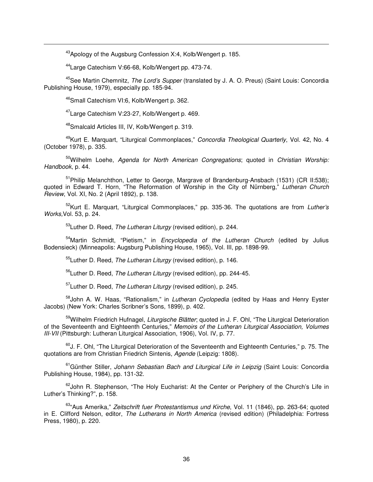<sup>43</sup>Apology of the Augsburg Confession X:4, Kolb/Wengert p. 185.

<sup>44</sup>Large Catechism V:66-68, Kolb/Wengert pp. 473-74.

<sup>45</sup>See Martin Chemnitz, The Lord's Supper (translated by J. A. O. Preus) (Saint Louis: Concordia Publishing House, 1979), especially pp. 185-94.

<sup>46</sup>Small Catechism VI:6, Kolb/Wengert p. 362.

 $\overline{a}$ 

 $47$ Large Catechism V:23-27, Kolb/Wengert p. 469.

<sup>48</sup>Smalcald Articles III, IV, Kolb/Wengert p. 319.

<sup>49</sup>Kurt E. Marquart, "Liturgical Commonplaces," Concordia Theological Quarterly, Vol. 42, No. 4 (October 1978), p. 335.

 $50$ Wilhelm Loehe, Agenda for North American Congregations; quoted in Christian Worship: Handbook, p. 44.

 $51$ Philip Melanchthon, Letter to George, Margrave of Brandenburg-Ansbach (1531) (CR II:538); quoted in Edward T. Horn, "The Reformation of Worship in the City of Nürnberg," Lutheran Church Review, Vol. XI, No. 2 (April 1892), p. 138.

<sup>52</sup>Kurt E. Marquart, "Liturgical Commonplaces," pp. 335-36. The quotations are from Luther's Works,Vol. 53, p. 24.

 $53$ Luther D. Reed, The Lutheran Liturgy (revised edition), p. 244.

<sup>54</sup>Martin Schmidt, "Pietism," in *Encyclopedia of the Lutheran Church* (edited by Julius Bodensieck) (Minneapolis: Augsburg Publishing House, 1965), Vol. III, pp. 1898-99.

 $55$ Luther D. Reed, The Lutheran Liturgy (revised edition), p. 146.

<sup>56</sup>Luther D. Reed, The Lutheran Liturgy (revised edition), pp. 244-45.

 $57$ Luther D. Reed, The Lutheran Liturgy (revised edition), p. 245.

<sup>58</sup>John A. W. Haas, "Rationalism," in Lutheran Cyclopedia (edited by Haas and Henry Eyster Jacobs) (New York: Charles Scribner's Sons, 1899), p. 402.

<sup>59</sup>Wilhelm Friedrich Hufnagel, *Liturgische Blätter*; quoted in J. F. Ohl, "The Liturgical Deterioration of the Seventeenth and Eighteenth Centuries," Memoirs of the Lutheran Liturgical Association, Volumes III-VII (Pittsburgh: Lutheran Liturgical Association, 1906), Vol. IV, p. 77.

 $^{60}$ J. F. Ohl, "The Liturgical Deterioration of the Seventeenth and Eighteenth Centuries," p. 75. The quotations are from Christian Friedrich Sintenis, Agende (Leipzig: 1808).

<sup>61</sup>Günther Stiller, Johann Sebastian Bach and Liturgical Life in Leipzig (Saint Louis: Concordia Publishing House, 1984), pp. 131-32.

 $62$ John R. Stephenson, "The Holy Eucharist: At the Center or Periphery of the Church's Life in Luther's Thinking?", p. 158.

<sup>63</sup> Aus Amerika," Zeitschrift fuer Protestantismus und Kirche, Vol. 11 (1846), pp. 263-64; quoted in E. Clifford Nelson, editor, The Lutherans in North America (revised edition) (Philadelphia: Fortress Press, 1980), p. 220.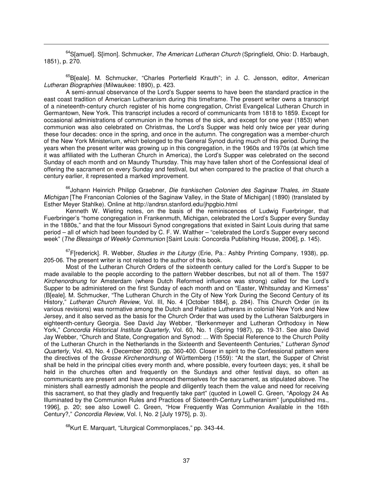<sup>64</sup>S[amuel]. S[imon]. Schmucker, The American Lutheran Church (Springfield, Ohio: D. Harbaugh, 1851), p. 270.

 $\overline{a}$ 

<sup>65</sup>B[eale]. M. Schmucker, "Charles Porterfield Krauth"; in J. C. Jensson, editor, American Lutheran Biographies (Milwaukee: 1890), p. 423.

A semi-annual observance of the Lord's Supper seems to have been the standard practice in the east coast tradition of American Lutheranism during this timeframe. The present writer owns a transcript of a nineteenth-century church register of his home congregation, Christ Evangelical Lutheran Church in Germantown, New York. This transcript includes a record of communicants from 1818 to 1859. Except for occasional administrations of communion in the homes of the sick, and except for one year (1853) when communion was also celebrated on Christmas, the Lord's Supper was held only twice per year during these four decades: once in the spring, and once in the autumn. The congregation was a member-church of the New York Ministerium, which belonged to the General Synod during much of this period. During the years when the present writer was growing up in this congregation, in the 1960s and 1970s (at which time it was affiliated with the Lutheran Church in America), the Lord's Supper was celebrated on the second Sunday of each month and on Maundy Thursday. This may have fallen short of the Confessional ideal of offering the sacrament on every Sunday and festival, but when compared to the practice of that church a century earlier, it represented a marked improvement.

<sup>66</sup>Johann Heinrich Philipp Graebner, Die frankischen Colonien des Saginaw Thales, im Staate Michigan [The Franconian Colonies of the Saginaw Valley, in the State of Michigan] (1890) (translated by Esther Meyer Stahlke). Online at http://andrsn.stanford.edu/jhpgbio.html

 Kenneth W. Wieting notes, on the basis of the reminiscences of Ludwig Fuerbringer, that Fuerbringer's "home congregation in Frankenmuth, Michigan, celebrated the Lord's Supper every Sunday in the 1880s," and that the four Missouri Synod congregations that existed in Saint Louis during that same period – all of which had been founded by C. F. W. Walther – "celebrated the Lord's Supper every second week" (The Blessings of Weekly Communion [Saint Louis: Concordia Publishing House, 2006], p. 145).

 $67$ F[rederick]. R. Webber, Studies in the Liturgy (Erie, Pa.: Ashby Printing Company, 1938), pp. 205-06. The present writer is not related to the author of this book.

Most of the Lutheran Church Orders of the sixteenth century called for the Lord's Supper to be made available to the people according to the pattern Webber describes, but not all of them. The 1597 Kirchenordnung for Amsterdam (where Dutch Reformed influence was strong) called for the Lord's Supper to be administered on the first Sunday of each month and on "Easter, Whitsunday and Kirmess" (B[eale]. M. Schmucker, "The Lutheran Church in the City of New York During the Second Century of its History," Lutheran Church Review, Vol. III, No. 4 [October 1884], p. 284). This Church Order (in its various revisions) was normative among the Dutch and Palatine Lutherans in colonial New York and New Jersey, and it also served as the basis for the Church Order that was used by the Lutheran Salzburgers in eighteenth-century Georgia. See David Jay Webber, "Berkenmeyer and Lutheran Orthodoxy in New York," Concordia Historical Institute Quarterly, Vol. 60, No. 1 (Spring 1987), pp. 19-31. See also David Jay Webber, "Church and State, Congregation and Synod: ... With Special Reference to the Church Polity of the Lutheran Church in the Netherlands in the Sixteenth and Seventeenth Centuries," Lutheran Synod Quarterly, Vol. 43, No. 4 (December 2003), pp. 360-400. Closer in spirit to the Confessional pattern were the directives of the Grosse Kirchenordnung of Württemberg (1559): "At the start, the Supper of Christ shall be held in the principal cities every month and, where possible, every fourteen days; yes, it shall be held in the churches often and frequently on the Sundays and other festival days, so often as communicants are present and have announced themselves for the sacrament, as stipulated above. The ministers shall earnestly admonish the people and diligently teach them the value and need for receiving this sacrament, so that they gladly and frequently take part" (quoted in Lowell C. Green, "Apology 24 As Illuminated by the Communion Rules and Practices of Sixteenth-Century Lutheranism" [unpublished ms., 1996], p. 20; see also Lowell C. Green, "How Frequently Was Communion Available in the 16th Century?," Concordia Review, Vol. I, No. 2 [July 1975], p. 3).

<sup>68</sup>Kurt E. Marquart, "Liturgical Commonplaces," pp. 343-44.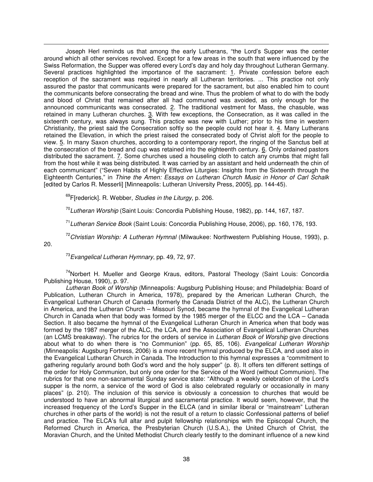Joseph Herl reminds us that among the early Lutherans, "the Lord's Supper was the center around which all other services revolved. Except for a few areas in the south that were influenced by the Swiss Reformation, the Supper was offered every Lord's day and holy day throughout Lutheran Germany. Several practices highlighted the importance of the sacrament: 1. Private confession before each reception of the sacrament was required in nearly all Lutheran territories. ... This practice not only assured the pastor that communicants were prepared for the sacrament, but also enabled him to count the communicants before consecrating the bread and wine. Thus the problem of what to do with the body and blood of Christ that remained after all had communed was avoided, as only enough for the announced communicants was consecrated. 2. The traditional vestment for Mass, the chasuble, was retained in many Lutheran churches. 3. With few exceptions, the Consecration, as it was called in the sixteenth century, was always sung. This practice was new with Luther; prior to his time in western Christianity, the priest said the Consecration softly so the people could not hear it. 4. Many Lutherans retained the Elevation, in which the priest raised the consecrated body of Christ aloft for the people to view. 5. In many Saxon churches, according to a contemporary report, the ringing of the Sanctus bell at the consecration of the bread and cup was retained into the eighteenth century. 6. Only ordained pastors distributed the sacrament. 7. Some churches used a houseling cloth to catch any crumbs that might fall from the host while it was being distributed. It was carried by an assistant and held underneath the chin of each communicant" ("Seven Habits of Highly Effective Liturgies: Insights from the Sixteenth through the Eighteenth Centuries," in Thine the Amen: Essays on Lutheran Church Music in Honor of Carl Schalk [edited by Carlos R. Messerli] [Minneapolis: Lutheran University Press, 2005], pp. 144-45).

 $^{69}$ F[rederick]. R. Webber, *Studies in the Liturgy*, p. 206.

<sup>70</sup>Lutheran Worship (Saint Louis: Concordia Publishing House, 1982), pp. 144, 167, 187.

<sup>71</sup> Lutheran Service Book (Saint Louis: Concordia Publishing House, 2006), pp. 160, 176, 193.

<sup>72</sup>Christian Worship: A Lutheran Hymnal (Milwaukee: Northwestern Publishing House, 1993), p.

20.

 $\overline{a}$ 

<sup>73</sup>Evangelical Lutheran Hymnary, pp. 49, 72, 97.

<sup>4</sup>Norbert H. Mueller and George Kraus, editors, Pastoral Theology (Saint Louis: Concordia Publishing House, 1990), p. 97.

Lutheran Book of Worship (Minneapolis: Augsburg Publishing House; and Philadelphia: Board of Publication, Lutheran Church in America, 1978), prepared by the American Lutheran Church, the Evangelical Lutheran Church of Canada (formerly the Canada District of the ALC), the Lutheran Church in America, and the Lutheran Church – Missouri Synod, became the hymnal of the Evangelical Lutheran Church in Canada when that body was formed by the 1985 merger of the ELCC and the LCA – Canada Section. It also became the hymnal of the Evangelical Lutheran Church in America when that body was formed by the 1987 merger of the ALC, the LCA, and the Association of Evangelical Lutheran Churches (an LCMS breakaway). The rubrics for the orders of service in Lutheran Book of Worship give directions about what to do when there is "no Communion" (pp. 65, 85, 106). Evangelical Lutheran Worship (Minneapolis: Augsburg Fortress, 2006) is a more recent hymnal produced by the ELCA, and used also in the Evangelical Lutheran Church in Canada. The Introduction to this hymnal expresses a "commitment to gathering regularly around both God's word and the holy supper" (p. 8). It offers ten different settings of the order for Holy Communion, but only one order for the Service of the Word (without Communion). The rubrics for that one non-sacramental Sunday service state: "Although a weekly celebration of the Lord's supper is the norm, a service of the word of God is also celebrated regularly or occasionally in many places" (p. 210). The inclusion of this service is obviously a concession to churches that would be understood to have an abnormal liturgical and sacramental practice. It would seem, however, that the increased frequency of the Lord's Supper in the ELCA (and in similar liberal or "mainstream" Lutheran churches in other parts of the world) is not the result of a return to classic Confessional patterns of belief and practice. The ELCA's full altar and pulpit fellowship relationships with the Episcopal Church, the Reformed Church in America, the Presbyterian Church (U.S.A.), the United Church of Christ, the Moravian Church, and the United Methodist Church clearly testify to the dominant influence of a new kind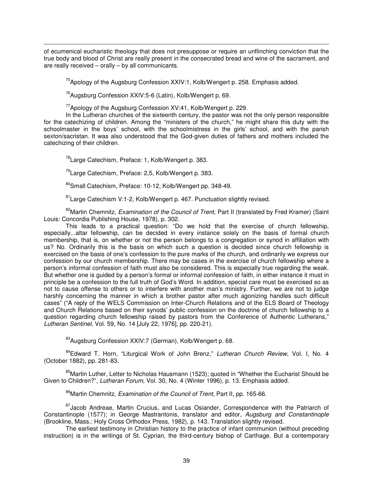of ecumenical eucharistic theology that does not presuppose or require an unflinching conviction that the true body and blood of Christ are really present in the consecrated bread and wine of the sacrament, and are really received – orally – by all communicants.

 $75$ Apology of the Augsburg Confession XXIV:1, Kolb/Wengert p. 258. Emphasis added.

<sup>76</sup>Augsburg Confession XXIV:5-6 (Latin), Kolb/Wengert p. 69.

 $\overline{a}$ 

 $^{77}$ Apology of the Augsburg Confession XV:41, Kolb/Wengert p. 229.

In the Lutheran churches of the sixteenth century, the pastor was not the only person responsible for the catechizing of children. Among the "ministers of the church," he might share this duty with the schoolmaster in the boys' school, with the schoolmistress in the girls' school, and with the parish sexton/sacristan. It was also understood that the God-given duties of fathers and mothers included the catechizing of their children.

<sup>78</sup> Large Catechism, Preface: 1, Kolb/Wengert p. 383.

<sup>79</sup>Large Catechism, Preface: 2,5, Kolb/Wengert p. 383.

<sup>80</sup>Small Catechism, Preface: 10-12, Kolb/Wengert pp. 348-49.

<sup>81</sup> Large Catechism V:1-2, Kolb/Wengert p. 467. Punctuation slightly revised.

<sup>82</sup>Martin Chemnitz, *Examination of the Council of Trent*, Part II (translated by Fred Kramer) (Saint Louis: Concordia Publishing House, 1978), p. 302.

This leads to a practical question: "Do we hold that the exercise of church fellowship, especially...altar fellowship, can be decided in every instance solely on the basis of formal church membership, that is, on whether or not the person belongs to a congregation or synod in affiliation with us? No. Ordinarily this is the basis on which such a question is decided since church fellowship is exercised on the basis of one's confession to the pure marks of the church, and ordinarily we express our confession by our church membership. There may be cases in the exercise of church fellowship where a person's informal confession of faith must also be considered. This is especially true regarding the weak. But whether one is guided by a person's formal or informal confession of faith, in either instance it must in principle be a confession to the full truth of God's Word. In addition, special care must be exercised so as not to cause offense to others or to interfere with another man's ministry. Further, we are not to judge harshly concerning the manner in which a brother pastor after much agonizing handles such difficult cases" ("A reply of the WELS Commission on Inter-Church Relations and of the ELS Board of Theology and Church Relations based on their synods' public confession on the doctrine of church fellowship to a question regarding church fellowship raised by pastors from the Conference of Authentic Lutherans," Lutheran Sentinel, Vol. 59, No. 14 [July 22, 1976], pp. 220-21).

<sup>83</sup>Augsburg Confession XXIV:7 (German), Kolb/Wengert p. 68.

<sup>84</sup>Edward T. Horn, "Liturgical Work of John Brenz," Lutheran Church Review, Vol. I, No. 4 (October 1882), pp. 281-83.

<sup>85</sup>Martin Luther, Letter to Nicholas Hausmann (1523); quoted in "Whether the Eucharist Should be Given to Children?", Lutheran Forum, Vol. 30, No. 4 (Winter 1996), p. 13. Emphasis added.

<sup>86</sup>Martin Chemnitz, Examination of the Council of Trent, Part II, pp. 165-66.

<sup>87</sup>Jacob Andreae, Martin Crucius, and Lucas Osiander, Correspondence with the Patriarch of Constantinople (1577); in George Mastrantonis, translator and editor, Augsburg and Constantinople (Brookline, Mass.: Holy Cross Orthodox Press, 1982), p. 143. Translation slightly revised.

The earliest testimony in Christian history to the practice of infant communion (without preceding instruction) is in the writings of St. Cyprian, the third-century bishop of Carthage. But a contemporary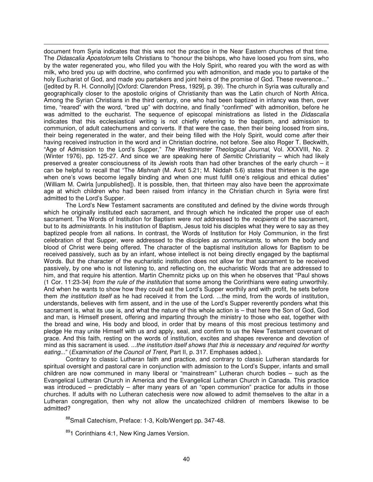document from Syria indicates that this was not the practice in the Near Eastern churches of that time. The Didascalia Apostolorum tells Christians to "honour the bishops, who have loosed you from sins, who by the water regenerated you, who filled you with the Holy Spirit, who reared you with the word as with milk, who bred you up with doctrine, who confirmed you with admonition, and made you to partake of the holy Eucharist of God, and made you partakers and joint heirs of the promise of God. These reverence..." ([edited by R. H. Connolly] [Oxford: Clarendon Press, 1929], p. 39). The church in Syria was culturally and geographically closer to the apostolic origins of Christianity than was the Latin church of North Africa. Among the Syrian Christians in the third century, one who had been baptized in infancy was then, over time, "reared" with the word, "bred up" with doctrine, and finally "confirmed" with admonition, before he was admitted to the eucharist. The sequence of episcopal ministrations as listed in the Didascalia indicates that this ecclesiastical writing is not chiefly referring to the baptism, and admission to communion, of adult catechumens and converts. If that were the case, then their being loosed from sins, their being regenerated in the water, and their being filled with the Holy Spirit, would come after their having received instruction in the word and in Christian doctrine, not before. See also Roger T. Beckwith, "Age of Admission to the Lord's Supper," The Westminster Theological Journal, Vol. XXXVIII, No. 2 (Winter 1976), pp. 125-27. And since we are speaking here of Semitic Christianity – which had likely preserved a greater consciousness of its Jewish roots than had other branches of the early church – it can be helpful to recall that "The Mishnah (M. Avot 5.21; M. Niddah 5.6) states that thirteen is the age when one's vows become legally binding and when one must fulfill one's religious and ethical duties" (William M. Cwirla [unpublished]). It is possible, then, that thirteen may also have been the approximate age at which children who had been raised from infancy in the Christian church in Syria were first admitted to the Lord's Supper.

 $\overline{a}$ 

The Lord's New Testament sacraments are constituted and defined by the divine words through which he originally instituted each sacrament, and through which he indicated the proper use of each sacrament. The Words of Institution for Baptism were not addressed to the recipients of the sacrament, but to its *administrants*. In his institution of Baptism, Jesus told his disciples what they were to say as they baptized people from all nations. In contrast, the Words of Institution for Holy Communion, in the first celebration of that Supper, were addressed to the disciples as communicants, to whom the body and blood of Christ were being offered. The character of the baptismal institution allows for Baptism to be received passively, such as by an infant, whose intellect is not being directly engaged by the baptismal Words. But the character of the eucharistic institution does not allow for that sacrament to be received passively, by one who is not listening to, and reflecting on, the eucharistic Words that are addressed to him, and that require his attention. Martin Chemnitz picks up on this when he observes that "Paul shows (1 Cor. 11:23-34) from the rule of the institution that some among the Corinthians were eating unworthily. And when he wants to show how they could eat the Lord's Supper worthily and with profit, he sets before them the institution itself as he had received it from the Lord. ...the mind, from the words of institution, understands, believes with firm assent, and in the use of the Lord's Supper reverently ponders what this sacrament is, what its use is, and what the nature of this whole action is – that here the Son of God, God and man, is Himself present, offering and imparting through the ministry to those who eat, together with the bread and wine, His body and blood, in order that by means of this most precious testimony and pledge He may unite Himself with us and apply, seal, and confirm to us the New Testament covenant of grace. And this faith, resting on the words of institution, excites and shapes reverence and devotion of mind as this sacrament is used. ...the institution itself shows that this is necessary and required for worthy eating..." (*Examination of the Council of Trent*, Part II, p. 317. Emphases added.).

Contrary to classic Lutheran faith and practice, and contrary to classic Lutheran standards for spiritual oversight and pastoral care in conjunction with admission to the Lord's Supper, infants and small children are now communed in many liberal or "mainstream" Lutheran church bodies – such as the Evangelical Lutheran Church in America and the Evangelical Lutheran Church in Canada. This practice was introduced – predictably – after many years of an "open communion" practice for adults in those churches. If adults with no Lutheran catechesis were now allowed to admit themselves to the altar in a Lutheran congregation, then why not allow the uncatechized children of members likewise to be admitted?

<sup>88</sup>Small Catechism, Preface: 1-3, Kolb/Wengert pp. 347-48.

<sup>89</sup>1 Corinthians 4:1, New King James Version.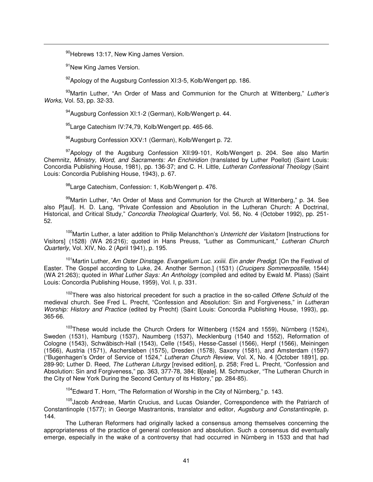$90$ Hebrews 13:17, New King James Version.

91 New King James Version.

 $\overline{a}$ 

 $92$ Apology of the Augsburg Confession XI:3-5, Kolb/Wengert pp. 186.

93Martin Luther, "An Order of Mass and Communion for the Church at Wittenberg," Luther's Works, Vol. 53, pp. 32-33.

<sup>94</sup>Augsburg Confession XI:1-2 (German), Kolb/Wengert p. 44.

<sup>95</sup>Large Catechism IV:74,79, Kolb/Wengert pp. 465-66.

96 Augsburg Confession XXV:1 (German), Kolb/Wengert p. 72.

 $97$ Apology of the Augsburg Confession XII:99-101, Kolb/Wengert p. 204. See also Martin Chemnitz, Ministry, Word, and Sacraments: An Enchiridion (translated by Luther Poellot) (Saint Louis: Concordia Publishing House, 1981), pp. 136-37; and C. H. Little, Lutheran Confessional Theology (Saint Louis: Concordia Publishing House, 1943), p. 67.

<sup>98</sup>Large Catechism, Confession: 1, Kolb/Wengert p. 476.

99Martin Luther, "An Order of Mass and Communion for the Church at Wittenberg," p. 34. See also P[aul]. H. D. Lang, "Private Confession and Absolution in the Lutheran Church: A Doctrinal, Historical, and Critical Study," Concordia Theological Quarterly, Vol. 56, No. 4 (October 1992), pp. 251-52.

<sup>100</sup>Martin Luther, a later addition to Philip Melanchthon's Unterricht der Visitatorn [Instructions for Visitors] (1528) (WA 26:216); quoted in Hans Preuss, "Luther as Communicant," Lutheran Church Quarterly, Vol. XIV, No. 2 (April 1941), p. 195.

<sup>101</sup> Martin Luther, Am Oster Dinstage. Evangelium Luc. xxiiii. Ein ander Predigt. [On the Festival of Easter. The Gospel according to Luke, 24. Another Sermon.] (1531) (Crucigers Sommerpostille, 1544) (WA 21:263); quoted in What Luther Says: An Anthology (compiled and edited by Ewald M. Plass) (Saint Louis: Concordia Publishing House, 1959), Vol. I, p. 331.

<sup>102</sup>There was also historical precedent for such a practice in the so-called *Offene Schuld* of the medieval church. See Fred L. Precht, "Confession and Absolution: Sin and Forgiveness," in Lutheran Worship: History and Practice (edited by Precht) (Saint Louis: Concordia Publishing House, 1993), pp. 365-66.

 $103$ These would include the Church Orders for Wittenberg (1524 and 1559), Nürnberg (1524), Sweden (1531), Hamburg (1537), Naumberg (1537), Mecklenburg (1540 and 1552), Reformation of Cologne (1543), Schwäbisch-Hall (1543), Celle (1545), Hesse-Cassel (1566), Herpf (1566), Meiningen (1566), Austria (1571), Aschersleben (1575), Dresden (1578), Saxony (1581), and Amsterdam (1597) ("Bugenhagen's Order of Service of 1524," Lutheran Church Review, Vol. X, No. 4 [October 1891], pp. 289-90; Luther D. Reed, The Lutheran Liturgy [revised edition], p. 258; Fred L. Precht, "Confession and Absolution: Sin and Forgiveness," pp. 363, 377-78, 384; B[eale]. M. Schmucker, "The Lutheran Church in the City of New York During the Second Century of its History," pp. 284-85).

 $104$ Edward T. Horn, "The Reformation of Worship in the City of Nürnberg," p. 143.

<sup>105</sup> Jacob Andreae, Martin Crucius, and Lucas Osiander, Correspondence with the Patriarch of Constantinople (1577); in George Mastrantonis, translator and editor, Augsburg and Constantinople, p. 144.

The Lutheran Reformers had originally lacked a consensus among themselves concerning the appropriateness of the practice of general confession and absolution. Such a consensus did eventually emerge, especially in the wake of a controversy that had occurred in Nürnberg in 1533 and that had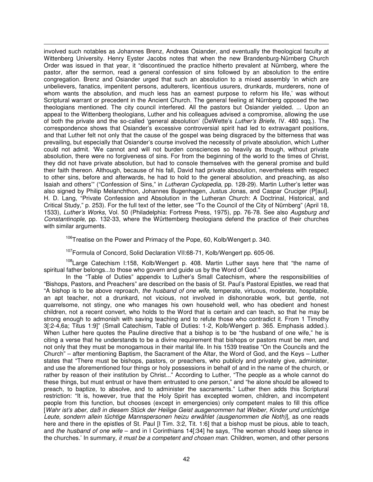involved such notables as Johannes Brenz, Andreas Osiander, and eventually the theological faculty at Wittenberg University. Henry Eyster Jacobs notes that when the new Brandenburg-Nürnberg Church Order was issued in that year, it "discontinued the practice hitherto prevalent at Nürnberg, where the pastor, after the sermon, read a general confession of sins followed by an absolution to the entire congregation. Brenz and Osiander urged that such an absolution to a mixed assembly 'in which are unbelievers, fanatics, impenitent persons, adulterers, licentious usurers, drunkards, murderers, none of whom wants the absolution, and much less has an earnest purpose to reform his life,' was without Scriptural warrant or precedent in the Ancient Church. The general feeling at Nürnberg opposed the two theologians mentioned. The city council interfered. All the pastors but Osiander yielded. ... Upon an appeal to the Wittenberg theologians, Luther and his colleagues advised a compromise, allowing the use of both the private and the so-called 'general absolution' (DeWette's Luther's Briefe, IV. 480 sqq.). The correspondence shows that Osiander's excessive controversial spirit had led to extravagant positions, and that Luther felt not only that the cause of the gospel was being disgraced by the bitterness that was prevailing, but especially that Osiander's course involved the necessity of private absolution, which Luther could not admit. 'We cannot and will not burden consciences so heavily as though, without private absolution, there were no forgiveness of sins. For from the beginning of the world to the times of Christ, they did not have private absolution, but had to console themselves with the general promise and build their faith thereon. Although, because of his fall, David had private absolution, nevertheless with respect to other sins, before and afterwards, he had to hold to the general absolution, and preaching, as also Isaiah and others" ("Confession of Sins," in Lutheran Cyclopedia, pp. 128-29). Martin Luther's letter was also signed by Philip Melanchthon, Johannes Bugenhagen, Justus Jonas, and Caspar Cruciger (P[aul]. H. D. Lang, "Private Confession and Absolution in the Lutheran Church: A Doctrinal, Historical, and Critical Study," p. 253). For the full text of the letter, see "To the Council of the City of Nürnberg" (April 18, 1533), Luther's Works, Vol. 50 (Philadelphia: Fortress Press, 1975), pp. 76-78. See also Augsburg and Constantinople, pp. 132-33, where the Württemberg theologians defend the practice of their churches with similar arguments.

 $\overline{a}$ 

<sup>106</sup>Treatise on the Power and Primacy of the Pope, 60, Kolb/Wengert p. 340.

<sup>107</sup>Formula of Concord, Solid Declaration VII:68-71, Kolb/Wengert pp. 605-06.

<sup>108</sup>Large Catechism I:158, Kolb/Wengert p. 408. Martin Luther says here that "the name of spiritual father belongs...to those who govern and guide us by the Word of God."

In the "Table of Duties" appendix to Luther's Small Catechism, where the responsibilities of "Bishops, Pastors, and Preachers" are described on the basis of St. Paul's Pastoral Epistles, we read that "A bishop is to be above reproach, the husband of one wife, temperate, virtuous, moderate, hospitable, an apt teacher, not a drunkard, not vicious, not involved in dishonorable work, but gentle, not quarrelsome, not stingy, one who manages his own household well, who has obedient and honest children, not a recent convert, who holds to the Word that is certain and can teach, so that he may be strong enough to admonish with saving teaching and to refute those who contradict it. From 1 Timothy 3[:2-4,6a; Titus 1:9]" (Small Catechism, Table of Duties: 1-2, Kolb/Wengert p. 365. Emphasis added.). When Luther here quotes the Pauline directive that a bishop is to be "the husband of one wife," he is citing a verse that he understands to be a divine requirement that bishops or pastors must be men, and not only that they must be monogamous in their marital life. In his 1539 treatise "On the Councils and the Church" – after mentioning Baptism, the Sacrament of the Altar, the Word of God, and the Keys – Luther states that "There must be bishops, pastors, or preachers, who publicly and privately give, administer, and use the aforementioned four things or holy possessions in behalf of and in the name of the church, or rather by reason of their institution by Christ..." According to Luther, "The people as a whole cannot do these things, but must entrust or have them entrusted to one person," and "he alone should be allowed to preach, to baptize, to absolve, and to administer the sacraments." Luther then adds this Scriptural restriction: "It is, however, true that the Holy Spirit has excepted women, children, and incompetent people from this function, but chooses (except in emergencies) only competent males to fill this office [Wahr ist's aber, daß in diesem Stück der Heilige Geist ausgenommen hat Weiber, Kinder und untüchtige Leute, sondern allein tüchtige Mannspersonen heizu erwählet (ausgenommen die Noth)], as one reads here and there in the epistles of St. Paul [I Tim. 3:2, Tit. 1:6] that a bishop must be pious, able to teach, and the husband of one wife – and in I Corinthians 14[:34] he says, 'The women should keep silence in the churches.' In summary, it must be a competent and chosen man. Children, women, and other persons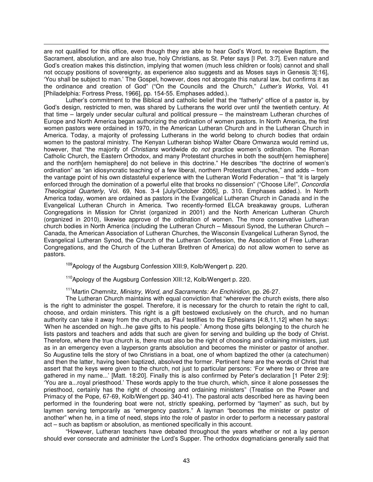are not qualified for this office, even though they are able to hear God's Word, to receive Baptism, the Sacrament, absolution, and are also true, holy Christians, as St. Peter says [I Pet. 3:7]. Even nature and God's creation makes this distinction, implying that women (much less children or fools) cannot and shall not occupy positions of sovereignty, as experience also suggests and as Moses says in Genesis 3[:16], 'You shall be subject to man.' The Gospel, however, does not abrogate this natural law, but confirms it as the ordinance and creation of God" ("On the Councils and the Church," Luther's Works, Vol. 41 [Philadelphia: Fortress Press, 1966], pp. 154-55. Emphases added.).

 $\overline{a}$ 

Luther's commitment to the Biblical and catholic belief that the "fatherly" office of a pastor is, by God's design, restricted to men, was shared by Lutherans the world over until the twentieth century. At that time – largely under secular cultural and political pressure – the mainstream Lutheran churches of Europe and North America began authorizing the ordination of women pastors. In North America, the first women pastors were ordained in 1970, in the American Lutheran Church and in the Lutheran Church in America. Today, a majority of professing Lutherans in the world belong to church bodies that ordain women to the pastoral ministry. The Kenyan Lutheran bishop Walter Obare Omwanza would remind us, however, that "the majority of *Christians* worldwide do not practice women's ordination. The Roman Catholic Church, the Eastern Orthodox, and many Protestant churches in both the south[ern hemisphere] and the north[ern hemisphere] do not believe in this doctrine." He describes "the doctrine of women's ordination" as "an idiosyncratic teaching of a few liberal, northern Protestant churches," and adds – from the vantage point of his own distasteful experience with the Lutheran World Federation – that "it is largely enforced through the domination of a powerful elite that brooks no dissension" ("Choose Life!", Concordia Theological Quarterly, Vol. 69, Nos. 3-4 [July/October 2005], p. 310. Emphases added.). In North America today, women are ordained as pastors in the Evangelical Lutheran Church in Canada and in the Evangelical Lutheran Church in America. Two recently-formed ELCA breakaway groups, Lutheran Congregations in Mission for Christ (organized in 2001) and the North American Lutheran Church (organized in 2010), likewise approve of the ordination of women. The more conservative Lutheran church bodies in North America (including the Lutheran Church – Missouri Synod, the Lutheran Church – Canada, the American Association of Lutheran Churches, the Wisconsin Evangelical Lutheran Synod, the Evangelical Lutheran Synod, the Church of the Lutheran Confession, the Association of Free Lutheran Congregations, and the Church of the Lutheran Brethren of America) do not allow women to serve as pastors.

<sup>109</sup>Apology of the Augsburg Confession XIII:9, Kolb/Wengert p. 220.

<sup>110</sup>Apology of the Augsburg Confession XIII:12, Kolb/Wengert p. 220.

<sup>111</sup> Martin Chemnitz, Ministry, Word, and Sacraments: An Enchiridion, pp. 26-27.

The Lutheran Church maintains with equal conviction that "wherever the church exists, there also is the right to administer the gospel. Therefore, it is necessary for the church to retain the right to call, choose, and ordain ministers. This right is a gift bestowed exclusively on the church, and no human authority can take it away from the church, as Paul testifies to the Ephesians [4:8,11,12] when he says: 'When he ascended on high...he gave gifts to his people.' Among those gifts belonging to the church he lists pastors and teachers and adds that such are given for serving and building up the body of Christ. Therefore, where the true church is, there must also be the right of choosing and ordaining ministers, just as in an emergency even a layperson grants absolution and becomes the minister or pastor of another. So Augustine tells the story of two Christians in a boat, one of whom baptized the other (a catechumen) and then the latter, having been baptized, absolved the former. Pertinent here are the words of Christ that assert that the keys were given to the church, not just to particular persons: 'For where two or three are gathered in my name...' [Matt. 18:20]. Finally this is also confirmed by Peter's declaration [1 Peter 2:9]: 'You are a...royal priesthood.' These words apply to the true church, which, since it alone possesses the priesthood, certainly has the right of choosing and ordaining ministers" (Treatise on the Power and Primacy of the Pope, 67-69, Kolb/Wengert pp. 340-41). The pastoral acts described here as having been performed in the foundering boat were not, strictly speaking, performed by "laymen" as such, but by laymen serving temporarily as "emergency pastors." A layman "becomes the minister or pastor of another" when he, in a time of need, steps into the role of pastor in order to perform a necessary pastoral act – such as baptism or absolution, as mentioned specifically in this account.

"However, Lutheran teachers have debated throughout the years whether or not a lay person should ever consecrate and administer the Lord's Supper. The orthodox dogmaticians generally said that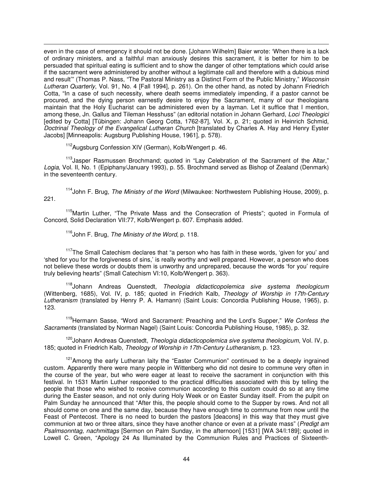even in the case of emergency it should not be done. [Johann Wilhelm] Baier wrote: 'When there is a lack of ordinary ministers, and a faithful man anxiously desires this sacrament, it is better for him to be persuaded that spiritual eating is sufficient and to show the danger of other temptations which could arise if the sacrament were administered by another without a legitimate call and therefore with a dubious mind and result" (Thomas P. Nass, "The Pastoral Ministry as a Distinct Form of the Public Ministry," Wisconsin Lutheran Quarterly, Vol. 91, No. 4 [Fall 1994], p. 261). On the other hand, as noted by Johann Friedrich Cotta, "In a case of such necessity, where death seems immediately impending, if a pastor cannot be procured, and the dying person earnestly desire to enjoy the Sacrament, many of our theologians maintain that the Holy Eucharist can be administered even by a layman. Let it suffice that I mention, among these, Jn. Gallus and Tileman Hesshuss" (an editorial notation in Johann Gerhard, Loci Theologici [edited by Cotta] [Tübingen: Johann Georg Cotta, 1762-87], Vol. X, p. 21; quoted in Heinrich Schmid, Doctrinal Theology of the Evangelical Lutheran Church [translated by Charles A. Hay and Henry Eyster Jacobs] [Minneapolis: Augsburg Publishing House, 1961], p. 578).

<sup>112</sup>Augsburg Confession XIV (German), Kolb/Wengert p. 46.

 $\overline{a}$ 

<sup>113</sup>Jasper Rasmussen Brochmand; quoted in "Lay Celebration of the Sacrament of the Altar." Logia, Vol. II, No. 1 (Epiphany/January 1993), p. 55. Brochmand served as Bishop of Zealand (Denmark) in the seventeenth century.

<sup>114</sup>John F. Brug, The Ministry of the Word (Milwaukee: Northwestern Publishing House, 2009), p. 221.

<sup>115</sup>Martin Luther, "The Private Mass and the Consecration of Priests"; quoted in Formula of Concord, Solid Declaration VII:77, Kolb/Wengert p. 607. Emphasis added.

 $116$ John F. Brug, The Ministry of the Word, p. 118.

<sup>117</sup>The Small Catechism declares that "a person who has faith in these words, 'given for you' and 'shed for you for the forgiveness of sins,' is really worthy and well prepared. However, a person who does not believe these words or doubts them is unworthy and unprepared, because the words 'for you' require truly believing hearts" (Small Catechism VI:10, Kolb/Wengert p. 363).

<sup>118</sup>Johann Andreas Quenstedt, Theologia didacticopolemica sive systema theologicum (Wittenberg, 1685), Vol. IV, p. 185; quoted in Friedrich Kalb, Theology of Worship in 17th-Century Lutheranism (translated by Henry P. A. Hamann) (Saint Louis: Concordia Publishing House, 1965), p. 123.

<sup>119</sup>Hermann Sasse, "Word and Sacrament: Preaching and the Lord's Supper," We Confess the Sacraments (translated by Norman Nagel) (Saint Louis: Concordia Publishing House, 1985), p. 32.

 $120$ Johann Andreas Quenstedt, Theologia didacticopolemica sive systema theologicum, Vol. IV, p. 185; quoted in Friedrich Kalb, Theology of Worship in 17th-Century Lutheranism, p. 123.

<sup>121</sup> Among the early Lutheran laity the "Easter Communion" continued to be a deeply ingrained custom. Apparently there were many people in Wittenberg who did not desire to commune very often in the course of the year, but who were eager at least to receive the sacrament in conjunction with this festival. In 1531 Martin Luther responded to the practical difficulties associated with this by telling the people that those who wished to receive communion according to this custom could do so at any time during the Easter season, and not only during Holy Week or on Easter Sunday itself. From the pulpit on Palm Sunday he announced that "After this, the people should come to the Supper by rows. And not all should come on one and the same day, because they have enough time to commune from now until the Feast of Pentecost. There is no need to burden the pastors [deacons] in this way that they must give communion at two or three altars, since they have another chance or even at a private mass" (Predigt am Psalmsonntag, nachmittags [Sermon on Palm Sunday, in the afternoon] [1531] [WA 34/I:189]; quoted in Lowell C. Green, "Apology 24 As Illuminated by the Communion Rules and Practices of Sixteenth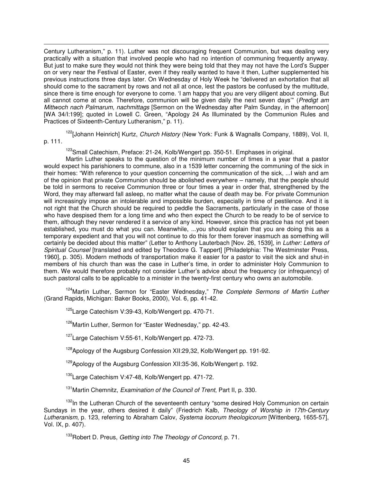Century Lutheranism," p. 11). Luther was not discouraging frequent Communion, but was dealing very practically with a situation that involved people who had no intention of communing frequently anyway. But just to make sure they would not think they were being told that they may not have the Lord's Supper on or very near the Festival of Easter, even if they really wanted to have it then, Luther supplemented his previous instructions three days later. On Wednesday of Holy Week he "delivered an exhortation that all should come to the sacrament by rows and not all at once, lest the pastors be confused by the multitude, since there is time enough for everyone to come. 'I am happy that you are very diligent about coming. But all cannot come at once. Therefore, communion will be given daily the next seven days" (Predigt am Mittwoch nach Palmarum, nachmittags [Sermon on the Wednesday after Palm Sunday, in the afternoon] [WA 34/I:199]; quoted in Lowell C. Green, "Apology 24 As Illuminated by the Communion Rules and Practices of Sixteenth-Century Lutheranism," p. 11).

<sup>122</sup>[Johann Heinrich] Kurtz, Church History (New York: Funk & Wagnalls Company, 1889), Vol. II, p. 111.

<sup>123</sup>Small Catechism, Preface: 21-24, Kolb/Wengert pp. 350-51. Emphases in original.

Martin Luther speaks to the question of the minimum number of times in a year that a pastor would expect his parishioners to commune, also in a 1539 letter concerning the communing of the sick in their homes: "With reference to your question concerning the communication of the sick, ...I wish and am of the opinion that private Communion should be abolished everywhere – namely, that the people should be told in sermons to receive Communion three or four times a year in order that, strengthened by the Word, they may afterward fall asleep, no matter what the cause of death may be. For private Communion will increasingly impose an intolerable and impossible burden, especially in time of pestilence. And it is not right that the Church should be required to peddle the Sacraments, particularly in the case of those who have despised them for a long time and who then expect the Church to be ready to be of service to them, although they never rendered it a service of any kind. However, since this practice has not yet been established, you must do what you can. Meanwhile, ...you should explain that you are doing this as a temporary expedient and that you will not continue to do this for them forever inasmuch as something will certainly be decided about this matter" (Letter to Anthony Lauterbach [Nov. 26, 1539], in Luther: Letters of Spiritual Counsel [translated and edited by Theodore G. Tappert] [Philadelphia: The Westminster Press, 1960], p. 305). Modern methods of transportation make it easier for a pastor to visit the sick and shut-in members of his church than was the case in Luther's time, in order to administer Holy Communion to them. We would therefore probably not consider Luther's advice about the frequency (or infrequency) of such pastoral calls to be applicable to a minister in the twenty-first century who owns an automobile.

<sup>124</sup>Martin Luther, Sermon for "Easter Wednesday," The Complete Sermons of Martin Luther (Grand Rapids, Michigan: Baker Books, 2000), Vol. 6, pp. 41-42.

<sup>125</sup>Large Catechism V:39-43, Kolb/Wengert pp. 470-71.

 $\overline{a}$ 

<sup>126</sup>Martin Luther, Sermon for "Easter Wednesday," pp. 42-43.

<sup>127</sup>Large Catechism V:55-61, Kolb/Wengert pp. 472-73.

<sup>128</sup>Apology of the Augsburg Confession XII:29,32, Kolb/Wengert pp. 191-92.

<sup>129</sup>Apology of the Augsburg Confession XII:35-36, Kolb/Wengert p. 192.

<sup>130</sup>Large Catechism V:47-48, Kolb/Wengert pp. 471-72.

<sup>131</sup> Martin Chemnitz, Examination of the Council of Trent, Part II, p. 330.

<sup>132</sup>In the Lutheran Church of the seventeenth century "some desired Holy Communion on certain Sundays in the year, others desired it daily" (Friedrich Kalb, Theology of Worship in 17th-Century Lutheranism, p. 123, referring to Abraham Calov, Systema locorum theologicorum [Wittenberg, 1655-57], Vol. IX, p. 407).

<sup>133</sup>Robert D. Preus, Getting into The Theology of Concord, p. 71.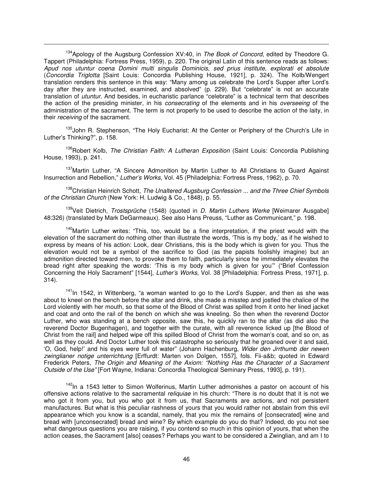<sup>134</sup>Apology of the Augsburg Confession XV:40, in The Book of Concord, edited by Theodore G. Tappert (Philadelphia: Fortress Press, 1959), p. 220. The original Latin of this sentence reads as follows: Apud nos utuntur coena Domini multi singulis Dominicis, sed prius institute, explorati et absolute (Concordia Triglotta [Saint Louis: Concordia Publishing House, 1921], p. 324). The Kolb/Wengert translation renders this sentence in this way: "Many among us celebrate the Lord's Supper after Lord's day after they are instructed, examined, and absolved" (p. 229). But "celebrate" is not an accurate translation of utuntur. And besides, in eucharistic parlance "celebrate" is a technical term that describes the action of the presiding minister, in his consecrating of the elements and in his overseeing of the administration of the sacrament. The term is not properly to be used to describe the action of the laity, in their receiving of the sacrament.

 $\overline{a}$ 

<sup>135</sup>John R. Stephenson, "The Holy Eucharist: At the Center or Periphery of the Church's Life in Luther's Thinking?", p. 158.

<sup>136</sup>Robert Kolb, The Christian Faith: A Lutheran Exposition (Saint Louis: Concordia Publishing House, 1993), p. 241.

<sup>137</sup>Martin Luther, "A Sincere Admonition by Martin Luther to All Christians to Guard Against Insurrection and Rebellion," Luther's Works, Vol. 45 (Philadelphia: Fortress Press, 1962), p. 70.

<sup>138</sup>Christian Heinrich Schott, The Unaltered Augsburg Confession ... and the Three Chief Symbols of the Christian Church (New York: H. Ludwig & Co., 1848), p. 55.

<sup>139</sup>Veit Dietrich, *Trostsprüche* (1548) (quoted in *D. Martin Luthers Werke* [Weimarer Ausgabe] 48:326) (translated by Mark DeGarmeaux). See also Hans Preuss, "Luther as Communicant," p. 198.

<sup>140</sup>Martin Luther writes: "This, too, would be a fine interpretation, if the priest would with the elevation of the sacrament do nothing other than illustrate the words, 'This is my body,' as if he wished to express by means of his action: Look, dear Christians, this is the body which is given for you. Thus the elevation would not be a symbol of the sacrifice to God (as the papists foolishly imagine) but an admonition directed toward men, to provoke them to faith, particularly since he immediately elevates the bread right after speaking the words: 'This is my body which is given for you'" ("Brief Confession Concerning the Holy Sacrament" [1544], Luther's Works, Vol. 38 [Philadelphia: Fortress Press, 1971], p. 314).

 $141$ In 1542, in Wittenberg, "a woman wanted to go to the Lord's Supper, and then as she was about to kneel on the bench before the altar and drink, she made a misstep and jostled the chalice of the Lord violently with her mouth, so that some of the Blood of Christ was spilled from it onto her lined jacket and coat and onto the rail of the bench on which she was kneeling. So then when the reverend Doctor Luther, who was standing at a bench opposite, saw this, he quickly ran to the altar (as did also the reverend Doctor Bugenhagen), and together with the curate, with all reverence licked up [the Blood of Christ from the rail] and helped wipe off this spilled Blood of Christ from the woman's coat, and so on, as well as they could. And Doctor Luther took this catastrophe so seriously that he groaned over it and said, 'O, God, help!' and his eyes were full of water" (Johann Hachenburg, Wider den Jrrthumb der newen zwinglianer notige unterrichtung [Erffurdt: Marten von Dolgen, 1557], fols. Fii-a&b; quoted in Edward Frederick Peters, The Origin and Meaning of the Axiom: "Nothing Has the Character of a Sacrament Outside of the Use" [Fort Wayne, Indiana: Concordia Theological Seminary Press, 1993], p. 191).

 $142$ In a 1543 letter to Simon Wolferinus, Martin Luther admonishes a pastor on account of his offensive actions relative to the sacramental *reliquiae* in his church: "There is no doubt that it is not we who got it from you, but you who got it from us, that Sacraments are actions, and not persistent manufactures. But what is this peculiar rashness of yours that you would rather not abstain from this evil appearance which you know is a scandal, namely, that you mix the remains of [consecrated] wine and bread with [unconsecrated] bread and wine? By which example do you do that? Indeed, do you not see what dangerous questions you are raising, if you contend so much in this opinion of yours, that when the action ceases, the Sacrament [also] ceases? Perhaps you want to be considered a Zwinglian, and am I to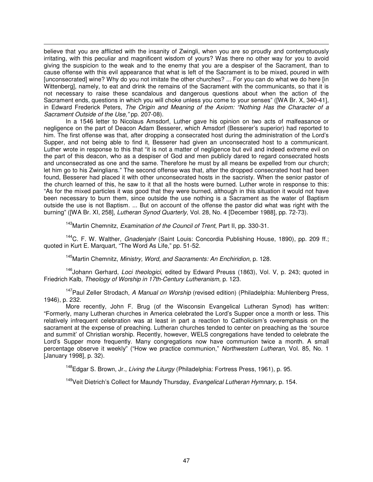believe that you are afflicted with the insanity of Zwingli, when you are so proudly and contemptuously irritating, with this peculiar and magnificent wisdom of yours? Was there no other way for you to avoid giving the suspicion to the weak and to the enemy that you are a despiser of the Sacrament, than to cause offense with this evil appearance that what is left of the Sacrament is to be mixed, poured in with [unconsecrated] wine? Why do you not imitate the other churches? ... For you can do what we do here [in Wittenberg], namely, to eat and drink the remains of the Sacrament with the communicants, so that it is not necessary to raise these scandalous and dangerous questions about when the action of the Sacrament ends, questions in which you will choke unless you come to your senses" ([WA Br. X, 340-41], in Edward Frederick Peters, The Origin and Meaning of the Axiom: "Nothing Has the Character of a Sacrament Outside of the Use," pp. 207-08).

 $\overline{a}$ 

In a 1546 letter to Nicolaus Amsdorf, Luther gave his opinion on two acts of malfeasance or negligence on the part of Deacon Adam Besserer, which Amsdorf (Besserer's superior) had reported to him. The first offense was that, after dropping a consecrated host during the administration of the Lord's Supper, and not being able to find it, Besserer had given an unconsecrated host to a communicant. Luther wrote in response to this that "it is not a matter of negligence but evil and indeed extreme evil on the part of this deacon, who as a despiser of God and men publicly dared to regard consecrated hosts and unconsecrated as one and the same. Therefore he must by all means be expelled from our church; let him go to his Zwinglians." The second offense was that, after the dropped consecrated host had been found, Besserer had placed it with other unconsecrated hosts in the sacristy. When the senior pastor of the church learned of this, he saw to it that all the hosts were burned. Luther wrote in response to this: "As for the mixed particles it was good that they were burned, although in this situation it would not have been necessary to burn them, since outside the use nothing is a Sacrament as the water of Baptism outside the use is not Baptism. ... But on account of the offense the pastor did what was right with the burning" ([WA Br. XI, 258], Lutheran Synod Quarterly, Vol. 28, No. 4 [December 1988], pp. 72-73).

<sup>143</sup>Martin Chemnitz, Examination of the Council of Trent, Part II, pp. 330-31.

<sup>144</sup>C. F. W. Walther, Gnadenjahr (Saint Louis: Concordia Publishing House, 1890), pp. 209 ff.; quoted in Kurt E. Marquart, "The Word As Life," pp. 51-52.

<sup>145</sup>Martin Chemnitz, Ministry, Word, and Sacraments: An Enchiridion, p. 128.

<sup>146</sup>Johann Gerhard, Loci theologici, edited by Edward Preuss (1863), Vol. V, p. 243; quoted in Friedrich Kalb, Theology of Worship in 17th-Century Lutheranism, p. 123.

<sup>147</sup>Paul Zeller Strodach, A Manual on Worship (revised edition) (Philadelphia: Muhlenberg Press, 1946), p. 232.

More recently, John F. Brug (of the Wisconsin Evangelical Lutheran Synod) has written: "Formerly, many Lutheran churches in America celebrated the Lord's Supper once a month or less. This relatively infrequent celebration was at least in part a reaction to Catholicism's overemphasis on the sacrament at the expense of preaching. Lutheran churches tended to center on preaching as the 'source and summit' of Christian worship. Recently, however, WELS congregations have tended to celebrate the Lord's Supper more frequently. Many congregations now have communion twice a month. A small percentage observe it weekly" ("How we practice communion," Northwestern Lutheran, Vol. 85, No. 1 [January 1998], p. 32).

<sup>148</sup>Edgar S. Brown, Jr., *Living the Liturgy* (Philadelphia: Fortress Press, 1961), p. 95.

<sup>149</sup>Veit Dietrich's Collect for Maundy Thursday, Evangelical Lutheran Hymnary, p. 154.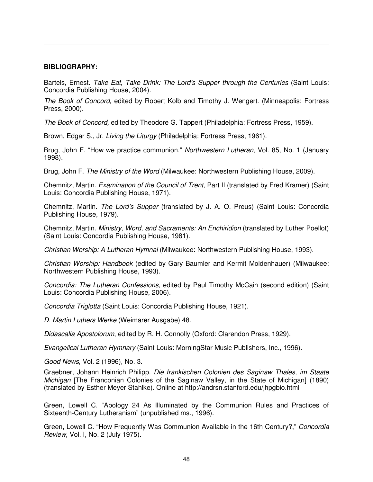## **BIBLIOGRAPHY:**

 $\overline{a}$ 

Bartels, Ernest. Take Eat, Take Drink: The Lord's Supper through the Centuries (Saint Louis: Concordia Publishing House, 2004).

The Book of Concord, edited by Robert Kolb and Timothy J. Wengert. (Minneapolis: Fortress Press, 2000).

The Book of Concord, edited by Theodore G. Tappert (Philadelphia: Fortress Press, 1959).

Brown, Edgar S., Jr. Living the Liturgy (Philadelphia: Fortress Press, 1961).

Brug, John F. "How we practice communion," Northwestern Lutheran, Vol. 85, No. 1 (January 1998).

Brug, John F. The Ministry of the Word (Milwaukee: Northwestern Publishing House, 2009).

Chemnitz, Martin. Examination of the Council of Trent, Part II (translated by Fred Kramer) (Saint Louis: Concordia Publishing House, 1971).

Chemnitz, Martin. The Lord's Supper (translated by J. A. O. Preus) (Saint Louis: Concordia Publishing House, 1979).

Chemnitz, Martin. Ministry, Word, and Sacraments: An Enchiridion (translated by Luther Poellot) (Saint Louis: Concordia Publishing House, 1981).

Christian Worship: A Lutheran Hymnal (Milwaukee: Northwestern Publishing House, 1993).

Christian Worship: Handbook (edited by Gary Baumler and Kermit Moldenhauer) (Milwaukee: Northwestern Publishing House, 1993).

Concordia: The Lutheran Confessions, edited by Paul Timothy McCain (second edition) (Saint Louis: Concordia Publishing House, 2006).

Concordia Triglotta (Saint Louis: Concordia Publishing House, 1921).

D. Martin Luthers Werke (Weimarer Ausgabe) 48.

Didascalia Apostolorum, edited by R. H. Connolly (Oxford: Clarendon Press, 1929).

Evangelical Lutheran Hymnary (Saint Louis: MorningStar Music Publishers, Inc., 1996).

Good News, Vol. 2 (1996), No. 3.

Graebner, Johann Heinrich Philipp. Die frankischen Colonien des Saginaw Thales, im Staate Michigan [The Franconian Colonies of the Saginaw Valley, in the State of Michigan] (1890) (translated by Esther Meyer Stahlke). Online at http://andrsn.stanford.edu/jhpgbio.html

Green, Lowell C. "Apology 24 As Illuminated by the Communion Rules and Practices of Sixteenth-Century Lutheranism" (unpublished ms., 1996).

Green, Lowell C. "How Frequently Was Communion Available in the 16th Century?," Concordia Review, Vol. I, No. 2 (July 1975).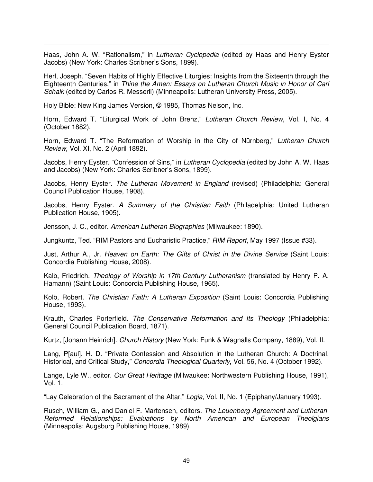Haas, John A. W. "Rationalism," in Lutheran Cyclopedia (edited by Haas and Henry Eyster Jacobs) (New York: Charles Scribner's Sons, 1899).

Herl, Joseph. "Seven Habits of Highly Effective Liturgies: Insights from the Sixteenth through the Eighteenth Centuries," in Thine the Amen: Essays on Lutheran Church Music in Honor of Carl Schalk (edited by Carlos R. Messerli) (Minneapolis: Lutheran University Press, 2005).

Holy Bible: New King James Version, © 1985, Thomas Nelson, Inc.

 $\overline{a}$ 

Horn, Edward T. "Liturgical Work of John Brenz," Lutheran Church Review, Vol. I, No. 4 (October 1882).

Horn, Edward T. "The Reformation of Worship in the City of Nürnberg," Lutheran Church Review, Vol. XI, No. 2 (April 1892).

Jacobs, Henry Eyster. "Confession of Sins," in *Lutheran Cyclopedia* (edited by John A. W. Haas and Jacobs) (New York: Charles Scribner's Sons, 1899).

Jacobs, Henry Eyster. The Lutheran Movement in England (revised) (Philadelphia: General Council Publication House, 1908).

Jacobs, Henry Eyster. A Summary of the Christian Faith (Philadelphia: United Lutheran Publication House, 1905).

Jensson, J. C., editor. American Lutheran Biographies (Milwaukee: 1890).

Jungkuntz, Ted. "RIM Pastors and Eucharistic Practice," RIM Report, May 1997 (Issue #33).

Just, Arthur A., Jr. Heaven on Earth: The Gifts of Christ in the Divine Service (Saint Louis: Concordia Publishing House, 2008).

Kalb, Friedrich. Theology of Worship in 17th-Century Lutheranism (translated by Henry P. A. Hamann) (Saint Louis: Concordia Publishing House, 1965).

Kolb, Robert. The Christian Faith: A Lutheran Exposition (Saint Louis: Concordia Publishing House, 1993).

Krauth, Charles Porterfield. The Conservative Reformation and Its Theology (Philadelphia: General Council Publication Board, 1871).

Kurtz, [Johann Heinrich]. Church History (New York: Funk & Wagnalls Company, 1889), Vol. II.

Lang, P[aul]. H. D. "Private Confession and Absolution in the Lutheran Church: A Doctrinal, Historical, and Critical Study," Concordia Theological Quarterly, Vol. 56, No. 4 (October 1992).

Lange, Lyle W., editor. Our Great Heritage (Milwaukee: Northwestern Publishing House, 1991), Vol. 1.

"Lay Celebration of the Sacrament of the Altar," Logia, Vol. II, No. 1 (Epiphany/January 1993).

Rusch, William G., and Daniel F. Martensen, editors. The Leuenberg Agreement and Lutheran-Reformed Relationships: Evaluations by North American and European Theolgians (Minneapolis: Augsburg Publishing House, 1989).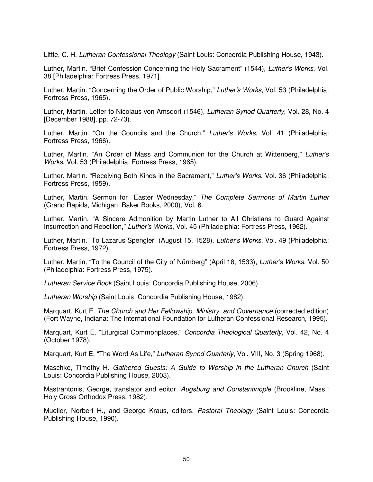Little, C. H. Lutheran Confessional Theology (Saint Louis: Concordia Publishing House, 1943).

 $\overline{a}$ 

Luther, Martin. "Brief Confession Concerning the Holy Sacrament" (1544), Luther's Works, Vol. 38 [Philadelphia: Fortress Press, 1971].

Luther, Martin. "Concerning the Order of Public Worship," Luther's Works, Vol. 53 (Philadelphia: Fortress Press, 1965).

Luther, Martin. Letter to Nicolaus von Amsdorf (1546), Lutheran Synod Quarterly, Vol. 28, No. 4 [December 1988], pp. 72-73).

Luther, Martin. "On the Councils and the Church," Luther's Works, Vol. 41 (Philadelphia: Fortress Press, 1966).

Luther, Martin. "An Order of Mass and Communion for the Church at Wittenberg," Luther's Works, Vol. 53 (Philadelphia: Fortress Press, 1965).

Luther, Martin. "Receiving Both Kinds in the Sacrament," Luther's Works, Vol. 36 (Philadelphia: Fortress Press, 1959).

Luther, Martin. Sermon for "Easter Wednesday," The Complete Sermons of Martin Luther (Grand Rapids, Michigan: Baker Books, 2000), Vol. 6.

Luther, Martin. "A Sincere Admonition by Martin Luther to All Christians to Guard Against Insurrection and Rebellion," Luther's Works, Vol. 45 (Philadelphia: Fortress Press, 1962).

Luther, Martin. "To Lazarus Spengler" (August 15, 1528), Luther's Works, Vol. 49 (Philadelphia: Fortress Press, 1972).

Luther, Martin. "To the Council of the City of Nürnberg" (April 18, 1533), Luther's Works, Vol. 50 (Philadelphia: Fortress Press, 1975).

Lutheran Service Book (Saint Louis: Concordia Publishing House, 2006).

Lutheran Worship (Saint Louis: Concordia Publishing House, 1982).

Marquart, Kurt E. The Church and Her Fellowship, Ministry, and Governance (corrected edition) (Fort Wayne, Indiana: The International Foundation for Lutheran Confessional Research, 1995).

Marquart, Kurt E. "Liturgical Commonplaces," Concordia Theological Quarterly, Vol. 42, No. 4 (October 1978).

Marquart, Kurt E. "The Word As Life," Lutheran Synod Quarterly, Vol. VIII, No. 3 (Spring 1968).

Maschke, Timothy H. Gathered Guests: A Guide to Worship in the Lutheran Church (Saint Louis: Concordia Publishing House, 2003).

Mastrantonis, George, translator and editor. Augsburg and Constantinople (Brookline, Mass.: Holy Cross Orthodox Press, 1982).

Mueller, Norbert H., and George Kraus, editors. Pastoral Theology (Saint Louis: Concordia Publishing House, 1990).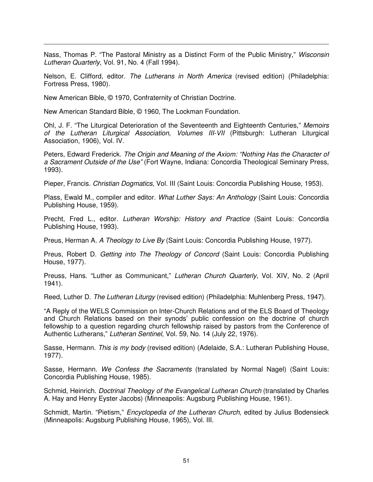Nass, Thomas P. "The Pastoral Ministry as a Distinct Form of the Public Ministry," Wisconsin Lutheran Quarterly, Vol. 91, No. 4 (Fall 1994).

Nelson, E. Clifford, editor. The Lutherans in North America (revised edition) (Philadelphia: Fortress Press, 1980).

New American Bible, © 1970, Confraternity of Christian Doctrine.

 $\overline{a}$ 

New American Standard Bible, © 1960, The Lockman Foundation.

Ohl, J. F. "The Liturgical Deterioration of the Seventeenth and Eighteenth Centuries," Memoirs of the Lutheran Liturgical Association, Volumes III-VII (Pittsburgh: Lutheran Liturgical Association, 1906), Vol. IV.

Peters, Edward Frederick. The Origin and Meaning of the Axiom: "Nothing Has the Character of a Sacrament Outside of the Use" (Fort Wayne, Indiana: Concordia Theological Seminary Press, 1993).

Pieper, Francis. Christian Dogmatics, Vol. III (Saint Louis: Concordia Publishing House, 1953).

Plass, Ewald M., compiler and editor. What Luther Says: An Anthology (Saint Louis: Concordia Publishing House, 1959).

Precht, Fred L., editor. Lutheran Worship: History and Practice (Saint Louis: Concordia Publishing House, 1993).

Preus, Herman A. A Theology to Live By (Saint Louis: Concordia Publishing House, 1977).

Preus, Robert D. Getting into The Theology of Concord (Saint Louis: Concordia Publishing House, 1977).

Preuss, Hans. "Luther as Communicant," Lutheran Church Quarterly, Vol. XIV, No. 2 (April 1941).

Reed, Luther D. The Lutheran Liturgy (revised edition) (Philadelphia: Muhlenberg Press, 1947).

"A Reply of the WELS Commission on Inter-Church Relations and of the ELS Board of Theology and Church Relations based on their synods' public confession on the doctrine of church fellowship to a question regarding church fellowship raised by pastors from the Conference of Authentic Lutherans," Lutheran Sentinel, Vol. 59, No. 14 (July 22, 1976).

Sasse, Hermann. This is my body (revised edition) (Adelaide, S.A.: Lutheran Publishing House, 1977).

Sasse, Hermann. We Confess the Sacraments (translated by Normal Nagel) (Saint Louis: Concordia Publishing House, 1985).

Schmid, Heinrich. Doctrinal Theology of the Evangelical Lutheran Church (translated by Charles A. Hay and Henry Eyster Jacobs) (Minneapolis: Augsburg Publishing House, 1961).

Schmidt, Martin. "Pietism," Encyclopedia of the Lutheran Church, edited by Julius Bodensieck (Minneapolis: Augsburg Publishing House, 1965), Vol. III.